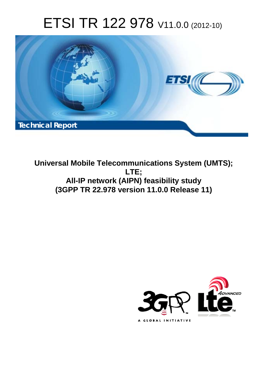# ETSI TR 122 978 V11.0.0 (2012-10)



**Universal Mobile Telecommunications System (UMTS); LTE; All-IP network (AIPN) feasibility study (3GPP TR 22.978 version 11.0.0 Release 11)** 

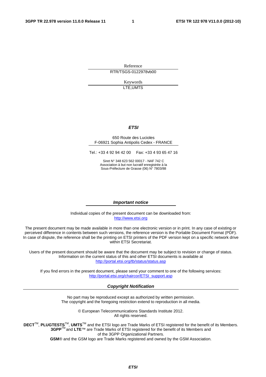Reference RTR/TSGS-0122978vb00

> Keywords LTE,UMTS

#### *ETSI*

#### 650 Route des Lucioles F-06921 Sophia Antipolis Cedex - FRANCE

Tel.: +33 4 92 94 42 00 Fax: +33 4 93 65 47 16

Siret N° 348 623 562 00017 - NAF 742 C Association à but non lucratif enregistrée à la Sous-Préfecture de Grasse (06) N° 7803/88

#### *Important notice*

Individual copies of the present document can be downloaded from: [http://www.etsi.org](http://www.etsi.org/)

The present document may be made available in more than one electronic version or in print. In any case of existing or perceived difference in contents between such versions, the reference version is the Portable Document Format (PDF). In case of dispute, the reference shall be the printing on ETSI printers of the PDF version kept on a specific network drive within ETSI Secretariat.

Users of the present document should be aware that the document may be subject to revision or change of status. Information on the current status of this and other ETSI documents is available at <http://portal.etsi.org/tb/status/status.asp>

If you find errors in the present document, please send your comment to one of the following services: [http://portal.etsi.org/chaircor/ETSI\\_support.asp](http://portal.etsi.org/chaircor/ETSI_support.asp)

#### *Copyright Notification*

No part may be reproduced except as authorized by written permission. The copyright and the foregoing restriction extend to reproduction in all media.

> © European Telecommunications Standards Institute 2012. All rights reserved.

DECT<sup>™</sup>, PLUGTESTS<sup>™</sup>, UMTS<sup>™</sup> and the ETSI logo are Trade Marks of ETSI registered for the benefit of its Members. **3GPP**TM and **LTE**™ are Trade Marks of ETSI registered for the benefit of its Members and of the 3GPP Organizational Partners.

**GSM**® and the GSM logo are Trade Marks registered and owned by the GSM Association.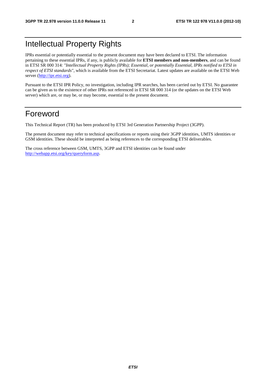## Intellectual Property Rights

IPRs essential or potentially essential to the present document may have been declared to ETSI. The information pertaining to these essential IPRs, if any, is publicly available for **ETSI members and non-members**, and can be found in ETSI SR 000 314: *"Intellectual Property Rights (IPRs); Essential, or potentially Essential, IPRs notified to ETSI in respect of ETSI standards"*, which is available from the ETSI Secretariat. Latest updates are available on the ETSI Web server [\(http://ipr.etsi.org](http://webapp.etsi.org/IPR/home.asp)).

Pursuant to the ETSI IPR Policy, no investigation, including IPR searches, has been carried out by ETSI. No guarantee can be given as to the existence of other IPRs not referenced in ETSI SR 000 314 (or the updates on the ETSI Web server) which are, or may be, or may become, essential to the present document.

## Foreword

This Technical Report (TR) has been produced by ETSI 3rd Generation Partnership Project (3GPP).

The present document may refer to technical specifications or reports using their 3GPP identities, UMTS identities or GSM identities. These should be interpreted as being references to the corresponding ETSI deliverables.

The cross reference between GSM, UMTS, 3GPP and ETSI identities can be found under [http://webapp.etsi.org/key/queryform.asp.](http://webapp.etsi.org/key/queryform.asp)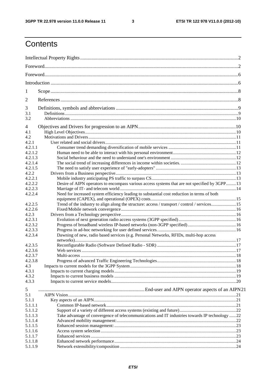$\mathbf{3}$ 

## Contents

| 1              |                                                                                                |  |
|----------------|------------------------------------------------------------------------------------------------|--|
| $\overline{2}$ |                                                                                                |  |
| 3              |                                                                                                |  |
| 3.1<br>3.2     |                                                                                                |  |
| 4              |                                                                                                |  |
| 4.1            |                                                                                                |  |
| 4.2            |                                                                                                |  |
| 4.2.1          |                                                                                                |  |
| 4.2.1.1        |                                                                                                |  |
| 4.2.1.2        |                                                                                                |  |
| 4.2.1.3        |                                                                                                |  |
| 4.2.1.4        |                                                                                                |  |
| 4.2.1.5        |                                                                                                |  |
| 4.2.2          |                                                                                                |  |
| 4.2.2.1        |                                                                                                |  |
| 4.2.2.2        | Desire of AIPN operators to encompass various access systems that are not specified by 3GPP13  |  |
| 4.2.2.3        |                                                                                                |  |
| 4.2.2.4        | Need for increased system efficiency leading to substantial cost reduction in terms of both    |  |
|                |                                                                                                |  |
| 4.2.2.5        | Trend of the industry to align along the structure: access / transport / control / services15  |  |
| 4.2.2.6        |                                                                                                |  |
| 4.2.3          |                                                                                                |  |
| 4.2.3.1        |                                                                                                |  |
| 4.2.3.2        |                                                                                                |  |
| 4.2.3.3        |                                                                                                |  |
| 4.2.3.4        | Dawning of new, radio based services (e.g. Personal Networks, RFIDs, multi-hop access          |  |
| 4.2.3.5        |                                                                                                |  |
| 4.2.3.6        |                                                                                                |  |
| 4.2.3.7        |                                                                                                |  |
| 4.2.3.8        |                                                                                                |  |
|                |                                                                                                |  |
| 4.3            |                                                                                                |  |
| 4.3.1          |                                                                                                |  |
| 4.3.2          |                                                                                                |  |
| 4.3.3          |                                                                                                |  |
| 5              |                                                                                                |  |
| 5.1            |                                                                                                |  |
|                |                                                                                                |  |
| 5.1.1          |                                                                                                |  |
| 5.1.1.1        |                                                                                                |  |
| 5.1.1.2        |                                                                                                |  |
| 5.1.1.3        | Take advantage of convergence of telecommunications and IT industries towards IP technology 22 |  |
| 5.1.1.4        |                                                                                                |  |
| 5.1.1.5        |                                                                                                |  |
| 5.1.1.6        |                                                                                                |  |
| 5.1.1.7        |                                                                                                |  |
| 5.1.1.8        |                                                                                                |  |
| 5.1.1.9        |                                                                                                |  |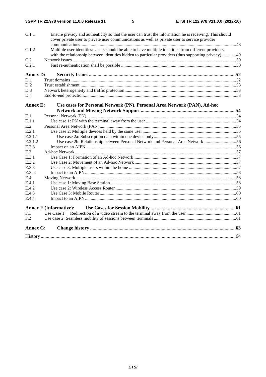| C.1.1           | Ensure privacy and authenticity so that the user can trust the information he is receiving. This should<br>cover private user to private user communications as well as private user to service provider    |  |
|-----------------|-------------------------------------------------------------------------------------------------------------------------------------------------------------------------------------------------------------|--|
| C.1.2           | Multiple user identities: Users should be able to have multiple identities from different providers,<br>with the relationship between identities hidden to particular providers (thus supporting privacy)49 |  |
| C.2             |                                                                                                                                                                                                             |  |
| C.2.1           |                                                                                                                                                                                                             |  |
| <b>Annex D:</b> |                                                                                                                                                                                                             |  |
| D.1             |                                                                                                                                                                                                             |  |
| D.2             |                                                                                                                                                                                                             |  |
| D.3             |                                                                                                                                                                                                             |  |
| D.4             |                                                                                                                                                                                                             |  |
| Annex E:        | Use cases for Personal Network (PN), Personal Area Network (PAN), Ad-hoc                                                                                                                                    |  |
|                 |                                                                                                                                                                                                             |  |
| E.1             |                                                                                                                                                                                                             |  |
| E.1.1           |                                                                                                                                                                                                             |  |
| E.2             |                                                                                                                                                                                                             |  |
| E.2.1           |                                                                                                                                                                                                             |  |
| E.2.1.1         |                                                                                                                                                                                                             |  |
| E.2.1.2         | Use case 2b: Relationship between Personal Network and Personal Area Network56                                                                                                                              |  |
| E.2.3           |                                                                                                                                                                                                             |  |
| E.3             |                                                                                                                                                                                                             |  |
| E.3.1           |                                                                                                                                                                                                             |  |
| E.3.2           |                                                                                                                                                                                                             |  |
| E.3.3           |                                                                                                                                                                                                             |  |
| E.3.4           |                                                                                                                                                                                                             |  |
| E.4             |                                                                                                                                                                                                             |  |
| E.4.1           |                                                                                                                                                                                                             |  |
| E.4.2           |                                                                                                                                                                                                             |  |
| E.4.3           |                                                                                                                                                                                                             |  |
| E.4.4           |                                                                                                                                                                                                             |  |
|                 | <b>Annex F (Informative):</b>                                                                                                                                                                               |  |
| F.1             |                                                                                                                                                                                                             |  |
| F <sub>.2</sub> |                                                                                                                                                                                                             |  |
| <b>Annex G:</b> |                                                                                                                                                                                                             |  |
|                 |                                                                                                                                                                                                             |  |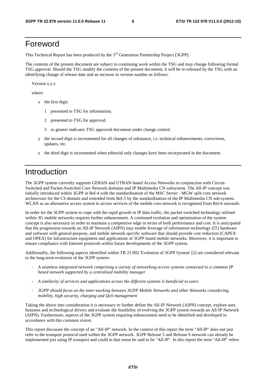## Foreword

This Technical Report has been produced by the  $3<sup>rd</sup>$  Generation Partnership Project (3GPP).

The contents of the present document are subject to continuing work within the TSG and may change following formal TSG approval. Should the TSG modify the contents of the present document, it will be re-released by the TSG with an identifying change of release date and an increase in version number as follows:

Version x.y.z

where:

- x the first digit:
	- 1 presented to TSG for information;
	- 2 presented to TSG for approval;
	- 3 or greater indicates TSG approved document under change control.
- y the second digit is incremented for all changes of substance, i.e. technical enhancements, corrections, updates, etc.
- z the third digit is incremented when editorial only changes have been incorporated in the document.

## Introduction

The 3GPP system currently supports GERAN and UTRAN based Access Networks in conjunction with Circuit-Switched and Packet-Switched Core Network domains and IP Multimedia CN subsystem. The All-IP concept was initially introduced within 3GPP in Rel-4 with the standardisation of the MSC Server - MGW split core network architecture for the CS domain and extended from Rel-5 by the standardisation of the IP Multimedia CN sub-system. WLAN as an alternative access system to access services of the mobile core network is recognized from Rel-6 onwards.

In order for the 3GPP system to cope with the rapid growth in IP data traffic, the packet-switched technology utilised within 3G mobile networks requires further enhancement. A continued evolution and optimisation of the system concept is also necessary in order to maintain a competitive edge in terms of both performance and cost. It is anticipated that the progression towards an All-IP Network (AIPN) may enable leverage of information technology (IT) hardware and software with general-purpose, and mobile network specific software that should provide cost reduction (CAPEX and OPEX) for infrastructure equipment and applications of 3GPP based mobile networks. Moreover, it is important to ensure compliance with Internet protocols within future developments of the 3GPP system.

Additionally, the following aspects identified within TR 21.902 'Evolution of 3GPP System' [2] are considered relevant to the long-term evolution of the 3GPP system:

- *A seamless integrated network comprising a variety of networking access systems connected to a common IP based network supported by a centralised mobility manager*
- *A similarity of services and applications across the different systems is beneficial to users*
- *3GPP should focus on the inter-working between 3GPP Mobile Networks and other Networks considering mobility, high security, charging and QoS management*

Taking the above into consideration it is necessary to further define the All-IP Network (AIPN) concept, explore user, business and technological drivers and evaluate the feasibility of evolving the 3GPP system towards an All-IP Network (AIPN). Furthermore, aspects of the 3GPP system requiring enhancement need to be identified and developed in accordance with this common vision.

This report discusses the concept of an "All-IP" network. In the context of this report the term "All-IP" does not just refer to the transport protocol used within the 3GPP network. 3GPP Release 5 and Release 6 network can already be implemented just using IP transport and could in that sense be said to be "All-IP". In this report the term "All-IP" refers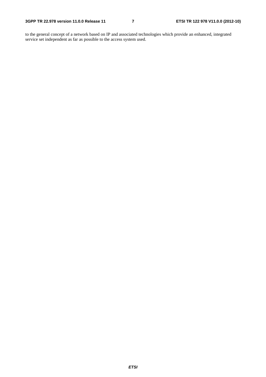to the general concept of a network based on IP and associated technologies which provide an enhanced, integrated service set independent as far as possible to the access system used.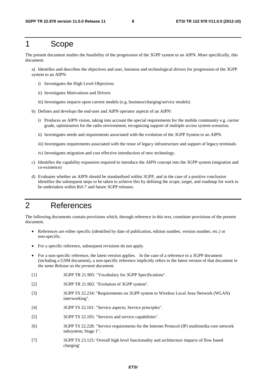## 1 Scope

The present document studies the feasibility of the progression of the 3GPP system to an AIPN. More specifically, this document:

a) Identifies and describes the objectives and user, business and technological drivers for progression of the 3GPP system to an AIPN:

- i) Investigates the High Level Objectives
- ii) Investigates Motivations and Drivers
- iii) Investigates impacts upon current models (e.g. business/charging/service models)
- b) Defines and develops the end-user and AIPN operator aspects of an AIPN:
	- i) Produces an AIPN vision, taking into account the special requirements for the mobile community e.g. carrier grade, optimisation for the radio environment, recognizing support of multiple access system scenarios.
	- ii) Investigates needs and requirements associated with the evolution of the 3GPP System to an AIPN.
	- iii) Investigates requirements associated with the reuse of legacy infrastructure and support of legacy terminals
	- iv) Investigates migration and cost effective introduction of new technology.
- c) Identifies the capability expansion required to introduce the AIPN concept into the 3GPP system (migration and co-existence)
- d) Evaluates whether an AIPN should be standardised within 3GPP, and in the case of a positive conclusion identifies the subsequent steps to be taken to achieve this by defining the scope, target, and roadmap for work to be undertaken within Rel-7 and future 3GPP releases.

## 2 References

The following documents contain provisions which, through reference in this text, constitute provisions of the present document.

- References are either specific (identified by date of publication, edition number, version number, etc.) or non-specific.
- For a specific reference, subsequent revisions do not apply.
- For a non-specific reference, the latest version applies. In the case of a reference to a 3GPP document (including a GSM document), a non-specific reference implicitly refers to the latest version of that document *in the same Release as the present document*.
- [1] 3GPP TR 21.905: "Vocabulary for 3GPP Specifications".
- [2] 3GPP TR 21.902: "Evolution of 3GPP system".
- [3] 3GPP TS 22.234: "Requirements on 3GPP system to Wireless Local Area Network (WLAN) interworking".
- [4] 3GPP TS 22.101: "Service aspects; Service principles".
- [5] 3GPP TS 22.105: "Services and service capabilities".
- [6] 3GPP TS 22.228: "Service requirements for the Internet Protocol (IP) multimedia core network subsystem; Stage 1".
- [7] 3GPP TS 23.125: 'Overall high level functionality and architecture impacts of flow based charging'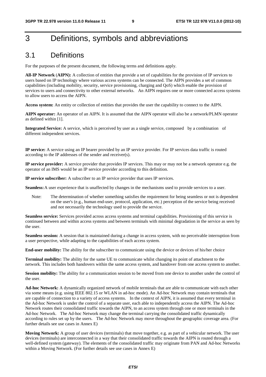## 3 Definitions, symbols and abbreviations

## 3.1 Definitions

For the purposes of the present document, the following terms and definitions apply.

**All-IP Network** (**AIPN):** A collection of entities that provide a set of capabilities for the provision of IP services to users based on IP technology where various access systems can be connected. The AIPN provides a set of common capabilities (including mobility, security, service provisioning, charging and QoS) which enable the provision of services to users and connectivity to other external networks. An AIPN requires one or more connected access systems to allow users to access the AIPN.

**Access system:** An entity or collection of entities that provides the user the capability to connect to the AIPN.

**AIPN operator:** An operator of an AIPN. It is assumed that the AIPN operator will also be a network/PLMN operator as defined within [1].

**Integrated Service:** A service, which is perceived by user as a single service, composed by a combination of different independent services.

**IP service:** A service using an IP bearer provided by an IP service provider. For IP services data traffic is routed according to the IP addresses of the sender and receiver(s).

**IP service provider:** A service provider that provides IP services. This may or may not be a network operator e.g. the operator of an IMS would be an IP service provider according to this definition.

**IP service subscriber:** A subscriber to an IP service provider that uses IP services.

**Seamless:** A user experience that is unaffected by changes in the mechanisms used to provide services to a user.

Note: The determination of whether something satisfies the requirement for being seamless or not is dependent on the user's (e.g., human end-user, protocol, application, etc.) perception of the service being received and not necessarily the technology used to provide the service.

**Seamless service:** Services provided across access systems and terminal capabilities. Provisioning of this service is continued between and within access systems and between terminals with minimal degradation in the service as seen by the user.

**Seamless session:** A session that is maintained during a change in access system, with no perceivable interruption from a user perspective, while adapting to the capabilities of each access system.

**End-user mobility:** The ability for the subscriber to communicate using the device or devices of his/her choice

**Terminal mobility:** The ability for the same UE to communicate whilst changing its point of attachment to the network. This includes both handovers within the same access system, and handover from one access system to another.

**Session mobility:** The ability for a communication session to be moved from one device to another under the control of the user.

**Ad-hoc Network:** A dynamically organized network of mobile terminals that are able to communicate with each other via some means (e.g. using IEEE 802.15 or WLAN in ad-hoc mode). An Ad-hoc Network may contain terminals that are capable of connection to a variety of access systems. In the context of AIPN, it is assumed that every terminal in the Ad-hoc Network is under the control of a separate user, each able to independently access the AIPN. The Ad-hoc Network routes their consolidated traffic towards the AIPN, to an access system through one or more terminals in the Ad-hoc Network. The Ad-hoc Network may change the terminal carrying the consolidated traffic dynamically according to rules set up by the users. The Ad-hoc Network may move throughout the geographic coverage area. (For further details see use cases in Annex E)

**Moving Network:** A group of user devices (terminals) that move together, e.g. as part of a vehicular network. The user devices (terminals) are interconnected in a way that their consolidated traffic towards the AIPN is routed through a well-defined system (gateway). The elements of the consolidated traffic may originate from PAN and Ad-hoc Networks within a Moving Network. (For further details see use cases in Annex E)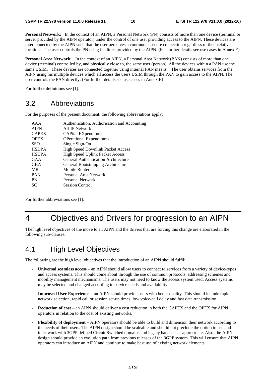**Personal Network:** In the context of an AIPN, a Personal Network (PN) consists of more than one device (terminal or server provided by the AIPN operator) under the control of one user providing access to the AIPN. These devices are interconnected by the AIPN such that the user perceives a continuous secure connection regardless of their relative locations. The user controls the PN using facilities provided by the AIPN. (For further details see use cases in Annex E)

**Personal Area Network:** In the context of an AIPN, a Personal Area Network (PAN) consists of more than one device (terminal) controlled by, and physically close to, the same user (person). All the devices within a PAN use the same USIM. These devices are connected together using internal PAN means. The user obtains services from the AIPN using his multiple devices which all access the users USIM through the PAN to gain access to the AIPN. The user controls the PAN directly. (For further details see use cases in Annex E)

For further definitions see [1].

## 3.2 Abbreviations

For the purposes of the present document, the following abbreviations apply:

| AAA          | Authentication, Authorisation and Accounting |
|--------------|----------------------------------------------|
| <b>AIPN</b>  | All-IP Network                               |
| <b>CAPEX</b> | CAPital EXpenditure                          |
| <b>OPEX</b>  | <b>OPerational Expenditures</b>              |
| <b>SSO</b>   | Single Sign-On                               |
| <b>HSDPA</b> | <b>High Speed Downlink Packet Access</b>     |
| <b>HSUPA</b> | <b>High Speed Uplink Packet Access</b>       |
| GAA          | General Authentication Architecture          |
| <b>GBA</b>   | General Bootstrapping Architecture           |
| <b>MR</b>    | Mobile Router                                |
| <b>PAN</b>   | Personal Area Network                        |
| <b>PN</b>    | Personal Network                             |
| <b>SC</b>    | <b>Session Control</b>                       |
|              |                                              |

For further abbreviations see [1].

## 4 Objectives and Drivers for progression to an AIPN

The high level objectives of the move to an AIPN and the drivers that are forcing this change are elaborated in the following sub-clauses.

## 4.1 High Level Objectives

The following are the high level objectives that the introduction of an AIPN should fulfil:

- **Universal seamless access** an AIPN should allow users to connect to services from a variety of device-types and access systems. This should come about through the use of common protocols, addressing schemes and mobility management mechanisms. The users may not need to know the access system used. Access systems may be selected and changed according to service needs and availability.
- **Improved User Experience**  an AIPN should provide users with better quality. This should include rapid network selection, rapid call or session set-up times, low voice-call delay and fast data transmission.
- **Reduction of cost** an AIPN should deliver a cost reduction in both the CAPEX and the OPEX for AIPN operators in relation to the cost of existing networks.
- **Flexibility of deployment** AIPN operators should be able to build and dimension their network according to the needs of their users. The AIPN design should be scaleable and should not preclude the option to use and inter-work with 3GPP defined Circuit Switched domains and legacy handsets as appropriate. Also, the AIPN design should provide an evolution path from previous releases of the 3GPP system. This will ensure that AIPN operators can introduce an AIPN and continue to make best use of existing network elements.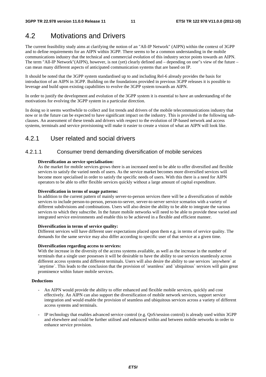## 4.2 Motivations and Drivers

The current feasibility study aims at clarifying the notion of an "All-IP Network" (AIPN) within the context of 3GPP and to define requirements for an AIPN within 3GPP. There seems to be a common understanding in the mobile communications industry that the technical and commercial evolution of this industry sector points towards an AIPN. The term "All-IP Network"(AIPN), however, is not (yet) clearly defined and – depending on one"s view of the future – can mean many different aspects of anticipated communication systems that are based on IP.

It should be noted that the 3GPP system standardised up to and including Rel-6 already provides the basis for introduction of an AIPN in 3GPP. Building on the foundations provided in previous 3GPP releases it is possible to leverage and build upon existing capabilities to evolve the 3GPP system towards an AIPN.

In order to justify the development and evolution of the 3GPP system it is essential to have an understanding of the motivations for evolving the 3GPP system in a particular direction.

In doing so it seems worthwhile to collect and list trends and drivers of the mobile telecommunications industry that now or in the future can be expected to have significant impact on the industry. This is provided in the following subclauses. An assessment of these trends and drivers with respect to the evolution of IP-based network and access systems, terminals and service provisioning will make it easier to create a vision of what an AIPN will look like.

### 4.2.1 User related and social drivers

### 4.2.1.1 Consumer trend demanding diversification of mobile services

#### **Diversification as service specialisation:**

As the market for mobile services grows there is an increased need to be able to offer diversified and flexible services to satisfy the varied needs of users. As the service market becomes more diversified services will become more specialised in order to satisfy the specific needs of users. With this there is a need for AIPN operators to be able to offer flexible services quickly without a large amount of capital expenditure.

#### **Diversification in terms of usage patterns:**

In addition to the current pattern of mainly server-to-person services there will be a diversification of mobile services to include person-to-person, person-to-server, server-to-server service scenarios with a variety of different subdivisions and combinations. Users will also desire the ability to be able to integrate the various services to which they subscribe. In the future mobile networks will need to be able to provide these varied and integrated service environments and enable this to be achieved in a flexible and efficient manner.

#### **Diversification in terms of service quality:**

Different services will have different user expectations placed upon them e.g. in terms of service quality. The demands for the same service may also differ according to specific user of that service at a given time.

#### **Diversification regarding access to services:**

With the increase in the diversity of the access systems available, as well as the increase in the number of terminals that a single user possesses it will be desirable to have the ability to use services seamlessly across different access systems and different terminals. Users will also desire the ability to use services `anywhere` at `anytime`. This leads to the conclusion that the provision of `seamless` and `ubiquitous` services will gain great prominence within future mobile services.

#### **Deductions**

- An AIPN would provide the ability to offer enhanced and flexible mobile services, quickly and cost effectively. An AIPN can also support the diversification of mobile network services, support service integration and would enable the provision of seamless and ubiquitous services across a variety of different access systems and terminals.
- IP technology that enables advanced service control (e.g. QoS/session control) is already used within 3GPP and elsewhere and could be further utilised and enhanced within and between mobile networks in order to enhance service provision.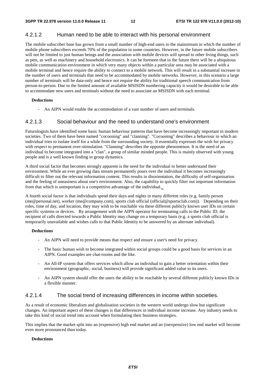### 4.2.1.2 Human need to be able to interact with his personal environment

The mobile subscriber base has grown from a small number of high-end users to the mainstream in which the number of mobile phone subscribers exceeds 70% of the population in some countries. However, in the future mobile subscribers will not be limited to just human beings and the association with mobile devices will spread to other living things, such as pets, as well as machinery and household electronics. It can be foreseen that in the future there will be a ubiquitous mobile communication environment in which very many objects within a particular area may be associated with a mobile terminal and hence require the ability to connect to a mobile network. This will result in a substantial increase in the number of users and terminals that need to be accommodated by mobile networks. However, in this scenario a large number of terminals will be data-only and hence not require the ability for traditional speech communication from person-to-person. Due to the limited amount of available MSISDN numbering capacity it would be desirable to be able to accommodate new users and terminals without the need to associate an MSISDN with each terminal.

#### **Deductions**

An AIPN would enable the accommodation of a vast number of users and terminals.

#### 4.2.1.3 Social behaviour and the need to understand one's environment

Futurologists have identified some basic human behaviour patterns that have become increasingly important in modern societies. Two of them have been named "cocooning" and "clanning". "Cocooning" describes a behaviour in which an individual tries to isolate itself for a while from the surrounding society. It essentially expresses the wish for privacy with respect to permanent over-stimulation. "Clanning" describes the opposite phenomenon. It is the need of an individual to become integrated into a "clan", a group of similar minded people. This is mainly observed with young people and is a well known finding in group dynamics.

A third social factor that becomes strongly apparent is the need for the individual to better understand their environment. While an ever growing data stream permanently pours over the individual it becomes increasingly difficult to filter out the relevant information content. This results in disorientation, the difficulty of self-organisation and the feeling of uneasiness about one's environment. Also, the capability to quickly filter out important information from that which is unimportant is a competitive advantage of the individual.

A fourth social factor is that individuals spend their days and nights in many different roles (e.g. family person (me@personal.net), worker (me@company.com), sports club official (official@sportsclub.com)). Depending on their roles, time of day, and location, they may wish to be reachable via these different publicly known user IDs on certain specific systems or devices. By arrangement with the AIPN operator for terminating calls to the Public ID, the recipient of calls directed towards a Public Identity may change on a temporary basis (e.g. a sports club official is temporarily unavailable and wishes calls to that Public Identity to be answered by an alternate individual).

#### **Deductions**

- An AIPN will need to provide means that respect and ensure a user's need for privacy.
- The basic human wish to become integrated within social groups could be a good basis for services in an AIPN. Good examples are chat-rooms and the like.
- An All-IP system that offers services which allow an individual to gain a better orientation within their environment (geographic, social, business) will provide significant added value to its users.
- An AIPN system should offer the users the ability to be reachable by several different publicly known IDs in a flexible manner.

### 4.2.1.4 The social trend of increasing differences in income within societies.

As a result of economic liberalism and globalisation societies in the western world undergo slow but significant changes. An important aspect of these changes is that differences in individual income increase. Any industry needs to take this kind of social trend into account when formulating their business strategies.

This implies that the market split into an (expensive) high end market and an (inexpensive) low end market will become even more pronounced than today.

#### **Deductions**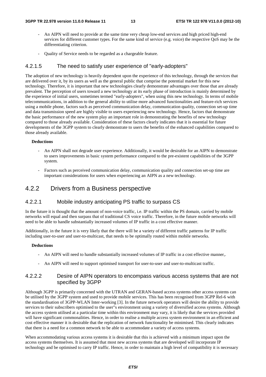- An AIPN will need to provide at the same time very cheap low-end services and high priced high-end services for different customer types. For the same kind of service (e.g. voice) the respective QoS may be the differentiating criterion.
- Quality of Service needs to be regarded as a chargeable feature.

#### 4.2.1.5 The need to satisfy user experience of "early-adopters"

The adoption of new technology is heavily dependent upon the experience of this technology, through the services that are delivered over it, by its users as well as the general public that comprise the potential market for this new technology. Therefore, it is important that new technologies clearly demonstrate advantages over those that are already prevalent. The perception of users toward a new technology at its early phase of introduction is mainly determined by the experience of initial users, sometimes termed "early-adopters", when using this new technology. In terms of mobile telecommunications, in addition to the general ability to utilise more advanced functionalities and feature-rich services using a mobile phone, factors such as perceived communication delay, communication quality, connection set-up time and data transmission speed are highly visible to users experiencing new technology. Hence, factors that demonstrate the basic performance of the new system play an important role in demonstrating the benefits of new technology compared to those already available. Consideration of these factors clearly indicates that it is essential for future developments of the 3GPP system to clearly demonstrate to users the benefits of the enhanced capabilities compared to those already available.

#### **Deductions**

- An AIPN shall not degrade user experience. Additionally, it would be desirable for an AIPN to demonstrate to users improvements in basic system performance compared to the pre-existent capabilities of the 3GPP system.
- Factors such as perceived communication delay, communication quality and connection set-up time are important considerations for users when experiencing an AIPN as a new technology.

### 4.2.2 Drivers from a Business perspective

#### 4.2.2.1 Mobile industry anticipating PS traffic to surpass CS

In the future it is thought that the amount of non-voice traffic, i.e. IP traffic within the PS domain, carried by mobile networks will equal and then surpass that of traditional CS voice traffic. Therefore, in the future mobile networks will need to be able to handle substantially increased volumes of IP traffic in a cost effective manner.

Additionally, in the future it is very likely that the there will be a variety of different traffic patterns for IP traffic including user-to-user and user-to-multicast, that needs to be optimally routed within mobile networks.

#### **Deductions**

- An AIPN will need to handle substantially increased volumes of IP traffic in a cost effective manner,.
- An AIPN will need to support optimised transport for user-to-user and user-to-multicast traffic.

#### 4.2.2.2 Desire of AIPN operators to encompass various access systems that are not specified by 3GPP

Although 3GPP is primarily concerned with the UTRAN and GERAN-based access systems other access systems can be utilised by the 3GPP system and used to provide mobile services. This has been recognised from 3GPP Rel-6 with the standardisation of 3GPP-WLAN Inter-working [3]. In the future network operators will desire the ability to provide services to their subscribers optimised to the user"s environment using a variety of diversified access systems. Although the access system utilised at a particular time within this environment may vary, it is likely that the services provided will have significant commonalities. Hence, in order to realise a multiple access system environment in an efficient and cost effective manner it is desirable that the replication of network functionality be minimised. This clearly indicates that there is a need for a common network to be able to accommodate a variety of access systems.

When accommodating various access systems it is desirable that this is achieved with a minimum impact upon the access systems themselves. It is assumed that most new access systems that are developed will incorporate IP technology and be optimised to carry IP traffic. Hence, in order to maintain a high level of compatibility it is necessary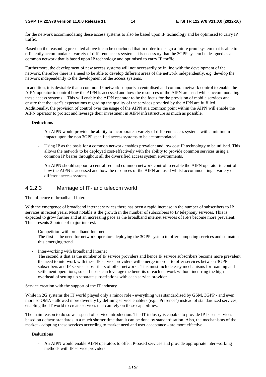#### **3GPP TR 22.978 version 11.0.0 Release 11 14 ETSI TR 122 978 V11.0.0 (2012-10)**

for the network accommodating these access systems to also be based upon IP technology and be optimised to carry IP traffic.

Based on the reasoning presented above it can be concluded that in order to design a future proof system that is able to efficiently accommodate a variety of different access systems it is necessary that the 3GPP system be designed as a common network that is based upon IP technology and optimised to carry IP traffic.

Furthermore, the development of new access systems will not necessarily be in line with the development of the network, therefore there is a need to be able to develop different areas of the network independently, e.g. develop the network independently to the development of the access systems.

In addition, it is desirable that a common IP network supports a centralised and common network control to enable the AIPN operator to control how the AIPN is accessed and how the resources of the AIPN are used whilst accommodating these access systems. This will enable the AIPN operator to be the focus for the provision of mobile services and ensure that the user"s expectations regarding the quality of the services provided by the AIPN are fulfilled. Additionally, the provision of control over the usage of the AIPN at a common point within the AIPN will enable the AIPN operator to protect and leverage their investment in AIPN infrastructure as much as possible.

#### **Deductions**

- An AIPN would provide the ability to incorporate a variety of different access systems with a minimum impact upon the non 3GPP specified access systems to be accommodated.
- Using IP as the basis for a common network enables prevalent and low cost IP technology to be utilised. This allows the network to be deployed cost-effectively with the ability to provide common services using a common IP bearer throughout all the diversified access system environments.
- An AIPN should support a centralised and common network control to enable the AIPN operator to control how the AIPN is accessed and how the resources of the AIPN are used whilst accommodating a variety of different access systems.

#### 4.2.2.3 Marriage of IT- and telecom world

#### The influence of broadband Internet

With the emergence of broadband internet services there has been a rapid increase in the number of subscribers to IP services in recent years. Most notable is the growth in the number of subscribers to IP telephony services. This is expected to grow further and at an increasing pace as the broadband internet services of ISPs become more prevalent. This presents 2 points of major interest.

Competition with broadband Internet

The first is the need for network operators deploying the 3GPP system to offer competing services and so match this emerging trend.

Inter-working with broadband Internet

The second is that as the number of IP service providers and hence IP service subscribers become more prevalent the need to interwork with these IP service providers will emerge in order to offer services between 3GPP subscribers and IP service subscribers of other networks. This must include easy mechanisms for roaming and settlement operations, so end-users can leverage the benefits of each network without incurring the high overhead of setting up separate subscriptions with each service provider.

#### Service creation with the support of the IT industry

While in 2G systems the IT world played only a minor role - everything was standardised by GSM. 3GPP - and even more so OMA - allowed more diversity by defining service enablers (e.g. "Presence") instead of standardized services, enabling the IT world to create services that can rely on these capabilities.

The main reason to do so was speed of service introduction. The IT industry is capable to provide IP-based services based on defacto standards in a much shorter time than it can be done by standardisation. Also, the mechanisms of the market - adopting these services according to market need and user acceptance - are more effective.

#### **Deductions**

- An AIPN would enable AIPN operators to offer IP-based services and provide appropriate inter-working methods with IP service providers.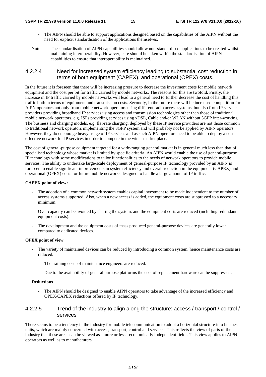- The AIPN should be able to support applications designed based on the capabilities of the AIPN without the need for explicit standardisation of the applications themselves.
- Note: The standardisation of AIPN capabilities should allow non-standardised applications to be created whilst maintaining interoperability. However, care should be taken within the standardisation of AIPN capabilities to ensure that interoperability is maintained.

### 4.2.2.4 Need for increased system efficiency leading to substantial cost reduction in terms of both equipment (CAPEX), and operational (OPEX) costs.

In the future it is foreseen that there will be increasing pressure to decrease the investment costs for mobile network equipment and the cost per bit for traffic carried by mobile networks. The reasons for this are twofold. Firstly, the increase in IP traffic carried by mobile networks will lead to a general need to further decrease the cost of handling this traffic both in terms of equipment and transmission costs. Secondly, in the future there will be increased competition for AIPN operators not only from mobile network operators using different radio access systems, but also from IP service providers providing broadband IP services using access and transmission technologies other than those of traditional mobile network operators, e.g. ISPs providing services using xDSL, Cable and/or WLAN without 3GPP inter-working. The business and charging models, e.g. flat-rate charging, deployed by these IP service providers are not those common to traditional network operators implementing the 3GPP system and will probably not be applied by AIPN operators. However, they do encourage heavy usage of IP services and as such AIPN operators need to be able to deploy a cost effective network for IP services in order to compete in the wider market place.

The cost of general-purpose equipment targeted for a wide-ranging general market is in general much less than that of specialised technology whose market is limited by specific criteria. An AIPN would enable the use of general-purpose IP technology with some modifications to tailor functionalities to the needs of network operators to provide mobile services. The ability to undertake large-scale deployment of general-purpose IP technology provided by an AIPN is foreseen to enable significant improvements in system efficiency and overall reduction in the equipment (CAPEX) and operational (OPEX) costs for future mobile networks designed to handle a large amount of IP traffic.

#### **CAPEX point of view:**

- The adoption of a common network system enables capital investment to be made independent to the number of access systems supported. Also, when a new access is added, the equipment costs are suppressed to a necessary minimum.
- Over capacity can be avoided by sharing the system, and the equipment costs are reduced (including redundant equipment costs).
- The development and the equipment costs of mass produced general-purpose devices are generally lower compared to dedicated devices.

#### **OPEX point of view**

- The variety of maintained devices can be reduced by introducing a common system, hence maintenance costs are reduced.
	- The training costs of maintenance engineers are reduced.
	- Due to the availability of general purpose platforms the cost of replacement hardware can be suppressed.

#### **Deductions**

The AIPN should be designed to enable AIPN operators to take advantage of the increased efficiency and OPEX/CAPEX reductions offered by IP technology.

### 4.2.2.5 Trend of the industry to align along the structure: access / transport / control / services

There seems to be a tendency in the industry for mobile telecommunication to adopt a horizontal structure into business units, which are mainly concerned with access, transport, control and services. This reflects the view of parts of the industry that these areas can be viewed as - more or less - economically independent fields. This view applies to AIPN operators as well as to manufacturers.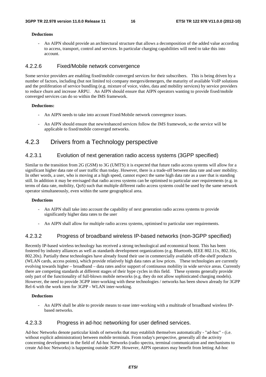#### **Deductions**

- An AIPN should provide an architectural structure that allows a decomposition of the added value according to access, transport, control and services. In particular charging capabilities will need to take this into account.

#### 4.2.2.6 Fixed/Mobile network convergence

Some service providers are enabling fixed/mobile converged services for their subscribers. This is being driven by a number of factors, including (but not limited to) company mergers/demergers, the maturity of available VoIP solutions and the proliferation of service bundling (e.g. mixture of voice, video, data and mobility services) by service providers to reduce churn and increase ARPU. An AIPN should ensure that AIPN operators wanting to provide fixed/mobile converged services can do so within the IMS framework.

#### **Deductions:**

- An AIPN needs to take into account Fixed/Mobile network convergence issues.
- An AIPN should ensure that new/enhanced services follow the IMS framework, so the service will be applicable to fixed/mobile converged networks.

### 4.2.3 Drivers from a Technology perspective

### 4.2.3.1 Evolution of next generation radio access systems (3GPP specified)

Similar to the transition from 2G (GSM) to 3G (UMTS) it is expected that future radio access systems will allow for a significant higher data rate of user traffic than today. However, there is a trade-off between data rate and user mobility. In other words, a user, who is moving at a high speed, cannot expect the same high data rate as a user that is standing still. In addition it may be envisaged that radio access systems can be optimised to particular user requirements (e.g. in terms of data rate, mobility, QoS) such that multiple different radio access systems could be used by the same network operator simultaneously, even within the same geographical area.

#### **Deductions**

- An AIPN shall take into account the capability of next generation radio access systems to provide significantly higher data rates to the user
- An AIPN shall allow for multiple radio access systems, optimised to particular user requirements.

#### 4.2.3.2 Progress of broadband wireless IP-based networks (non-3GPP specified)

Recently IP-based wireless technology has received a strong technological and economical boost. This has been fostered by industry alliances as well as standards development organizations (e.g. Bluetooth, IEEE 802.11x, 802.16x, 802.20x). Partially these technologies have already found their use in commercially available off-the-shelf products (WLAN cards, access points), which provide relatively high data rates at low prices. These technologies are currently evolving towards higher – broadband – data rates and/or support of continuous mobility in wide service areas. Currently there are competing standards at different stages of their hype cycles in this field. These systems generally provide only part of the functionality of full-blown mobile networks (e.g. they do not allow sophisticated charging models). However, the need to provide 3GPP inter-working with these technologies / networks has been shown already for 3GPP Rel-6 with the work item for 3GPP - WLAN inter-working.

#### **Deductions**

- An AIPN shall be able to provide means to ease inter-working with a multitude of broadband wireless IPbased networks.

#### 4.2.3.3 Progress in ad-hoc networking for user defined services.

Ad-hoc Networks denote particular kinds of networks that may establish themselves automatically - "ad-hoc" - (i.e. without explicit administration) between mobile terminals. From today's perspective, generally all the activity concerning development in the field of Ad-hoc Networks (radio spectra, terminal communication and mechanisms to create Ad-hoc Networks) is happening outside 3GPP. However, AIPN operators may benefit from letting Ad-hoc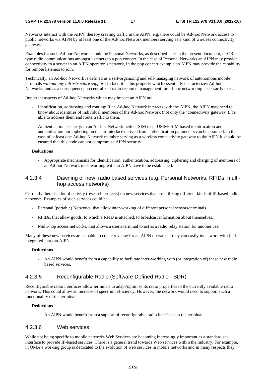Networks interact with the AIPN, thereby creating traffic in the AIPN; e.g. there could be Ad-hoc Network access to public networks via AIPN by at least one of the Ad-hoc Network members serving as a kind of wireless connectivity gateway.

Examples for such Ad-hoc Networks could be Personal Networks, as described later in the present document, or CBtype radio communications amongst listeners to a pop concert. In the case of Personal Networks an AIPN may provide connectivity to a server in an AIPN operator"s network, in the pop concert example an AIPN may provide the capability for remote listeners to join.

Technically, an Ad-hoc Network is defined as a self-organizing and self-managing network of autonomous mobile terminals *without any infrastructure support*. In fact, it is this property which essentially characterizes Ad-hoc Networks, and as a consequence, no centralized radio resource management for ad-hoc networking necessarily exist.

Important aspects of Ad-hoc Networks which may impact an AIPN are:

- Identification, addressing and routing: If an Ad-hoc Network interacts with the AIPN, the AIPN may need to know about identities of individual members of the Ad-hoc Network (not only the "connectivity gateway"), be able to address them and route traffic to them.
- Authentication, security: in an Ad-hoc Network neither SIM resp. USIM/ISIM based identification and authentication nor ciphering on the air interface derived from authentication parameters can be assumed. In the case of at least one Ad-hoc Network member serving as a wireless connectivity gateway to the AIPN it should be ensured that this node can not compromise AIPN security.

#### **Deductions**

- Appropriate mechanisms for identification, authentication, addressing, ciphering and charging of members of an Ad-hoc Network inter-working with an AIPN have to be established.

### 4.2.3.4 Dawning of new, radio based services (e.g. Personal Networks, RFIDs, multihop access networks)

Currently there is a lot of activity (research projects) on new services that are utilizing different kinds of IP-based radio networks. Examples of such services could be:

- Personal (portable) Networks, that allow inter-working of different personal sensors/terminals
- RFIDs, that allow goods, to which a RFID is attached, to broadcast information about themselves,
- Multi-hop access networks, that allows a user's terminal to act as a radio relay station for another user

Many of these new services are capable to create revenue for an AIPN operator if they can easily inter-work with (or be integrated into) an AIPN

#### **Deductions**

- An AIPN would benefit from a capability to facilitate inter-working with (or integration of) these new radio based services.

### 4.2.3.5 Reconfigurable Radio (Software Defined Radio - SDR)

Reconfigurable radio interfaces allow terminals to adapt/optimise its radio properties to the currently available radio network. This could allow an increase of spectrum efficiency. However, the network would need to support such a functionality of the terminal.

#### **Deductions**

- An AIPN would benefit from a support of reconfigurable radio interfaces in the terminal.

#### 4.2.3.6 Web services

While not being specific to mobile networks Web Services are becoming increasingly important as a standardised interface to provide IP-based services. There is a general trend towards Web services within the industry. For example, in OMA a working group is dedicated to the evolution of web services in mobile networks and in many respects they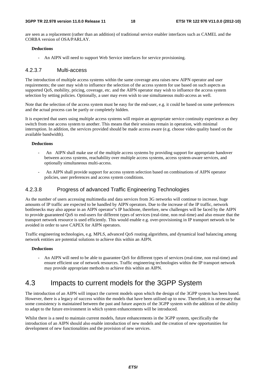are seen as a replacement (rather than an addition) of traditional service enabler interfaces such as CAMEL and the CORBA version of OSA/PARLAY.

#### **Deductions**

- An AIPN will need to support Web Service interfaces for service provisioning.

#### 4.2.3.7 Multi-access

The introduction of multiple access systems within the same coverage area raises new AIPN operator and user requirements; the user may wish to influence the selection of the access system for use based on such aspects as supported QoS, mobility, pricing, coverage, etc. and the AIPN operator may wish to influence the access system selection by setting policies. Optionally, a user may even wish to use simultaneous multi-access as well.

Note that the selection of the access system must be easy for the end-user, e.g. it could be based on some preferences and the actual process can be partly or completely hidden.

It is expected that users using multiple access systems will require an appropriate service continuity experience as they switch from one access system to another. This means that their sessions remain in operation, with minimal interruption. In addition, the services provided should be made access aware (e.g. choose video quality based on the available bandwidth).

#### **Deductions**

- An AIPN shall make use of the multiple access systems by providing support for appropriate handover between access systems, reachability over multiple access systems, access system-aware services, and optionally simultaneous multi-access.
- An AIPN shall provide support for access system selection based on combinations of AIPN operator policies, user preferences and access system conditions.

### 4.2.3.8 Progress of advanced Traffic Engineering Technologies

As the number of users accessing multimedia and data services from 3G networks will continue to increase, huge amounts of IP traffic are expected to be handled by AIPN operators. Due to the increase of the IP traffic, network bottlenecks may also appear in an AIPN operator"s IP backbone, therefore, new challenges will be faced by the AIPN to provide guaranteed QoS to end-users for different types of services (real-time, non real-time) and also ensure that the transport network resource is used efficiently. This would enable e.g. over-provisioning in IP transport network to be avoided in order to save CAPEX for AIPN operators.

Traffic engineering technologies, e.g. MPLS, advanced QoS routing algorithms, and dynamical load balancing among network entities are potential solutions to achieve this within an AIPN.

#### **Deductions**

- An AIPN will need to be able to guarantee QoS for different types of services (real-time, non real-time) and ensure efficient use of network resources. Traffic engineering technologies within the IP transport network may provide appropriate methods to achieve this within an AIPN.

## 4.3 Impacts to current models for the 3GPP System

The introduction of an AIPN will impact the current models upon which the design of the 3GPP system has been based. However, there is a legacy of success within the models that have been utilised up to now. Therefore, it is necessary that some consistency is maintained between the past and future aspects of the 3GPP system with the addition of the ability to adapt to the future environment in which system enhancements will be introduced.

Whilst there is a need to maintain current models, future enhancements in the 3GPP system, specifically the introduction of an AIPN should also enable introduction of new models and the creation of new opportunities for development of new functionalities and the provision of new services.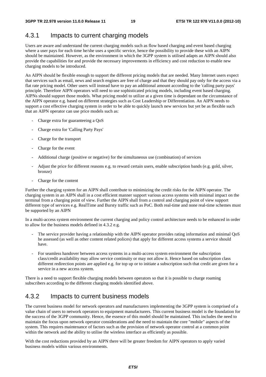## 4.3.1 Impacts to current charging models

Users are aware and understand the current charging models such as flow based charging and event based charging where a user pays for each time he/she uses a specific service, hence the possibility to provide these with an AIPN should be maintained. However, as the environment in which the 3GPP system is utilised adapts an AIPN should also provide the capabilities for and provide the necessary improvements in efficiency and cost reduction to enable new charging models to be introduced.

An AIPN should be flexible enough to support the different pricing models that are needed. Many Internet users expect that services such as email, news and search engines are free of charge and that they should pay only for the access via a flat rate pricing model. Other users will instead have to pay an additional amount according to the 'calling party pays' principle. Therefore AIPN operators will need to use sophisticated pricing models, including event based charging. AIPNs should support those models. What pricing model to utilize at a given time is dependant on the circumstance of the AIPN operator e.g. based on different strategies such as Cost Leadership or Differentiation. An AIPN needs to support a cost effective charging system in order to be able to quickly launch new services but yet be as flexible such that an AIPN operator can use price models such as:

- Charge extra for guaranteeing a OoS
- Charge extra for 'Calling Party Pays'
- Charge for the transport
- Charge for the event
- Additional charge (positive or negative) for the simultaneous use (combination) of services
- Adjust the price for different reasons e.g. to reward certain users, enable subscription bands (e.g. gold, silver, bronze)
- Charge for the content

Further the charging system for an AIPN shall contribute to minimizing the credit risks for the AIPN operator. The charging system in an AIPN shall in a cost efficient manner support various access systems with minimal impact on the terminal from a charging point of view. Further the AIPN shall from a control and charging point of view support different type of services e.g. RealTime and Bursty traffic such as PoC. Both real-time and none real-time schemes must be supported by an AIPN

In a multi-access system environment the current charging and policy control architecture needs to be enhanced in order to allow for the business models defined in 4.3.2 e.g.

- The service provider having a relationship with the AIPN operator provides rating information and minimal QoS he assessed (as well as other content related polices) that apply for different access systems a service should have.
- For seamless handover between access systems in a multi-access system environment the subscription class/credit availability may allow service continuity or may not allow it. Hence based on subscription class different redirection points are applied e.g. for top up or to initiate a subscription such that credit are given for a service in a new access system.

There is a need to support flexible charging models between operators so that it is possible to charge roaming subscribers according to the different charging models identified above.

## 4.3.2 Impacts to current business models

The current business model for network operators and manufacturers implementing the 3GPP system is comprised of a value chain of users to network operators to equipment manufacturers. This current business model is the foundation for the success of the 3GPP community. Hence, the essence of this model should be maintained. This includes the need to maintain the focus upon network operator considerations and the need to maintain the core "mobile" aspects of the system. This requires maintenance of factors such as the provision of network operator control at a common point within the network and the ability to utilise the wireless interface as efficiently as possible.

With the cost reductions provided by an AIPN there will be greater freedom for AIPN operators to apply varied business models within various environments.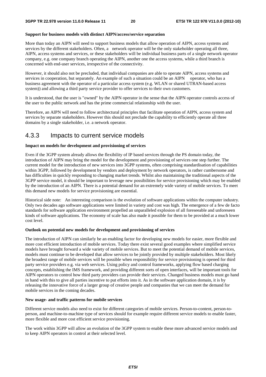#### **Support for business models with distinct AIPN/access/service separation**

More than today an AIPN will need to support business models that allow operation of AIPN, access systems and services by the different stakeholders. Often, a network operator will be the only stakeholder operating all three, AIPN, access systems and services, or these stakeholders will be individual business parts of a single network operator company, e.g. one company branch operating the AIPN, another one the access systems, while a third branch is concerned with end-user services, irrespective of the connectivity.

However, it should also not be precluded, that individual companies are able to operate AIPN, access systems and services in cooperation, but separately. An example of such a situation could be an AIPN operator, who has a business agreement with the operator of a particular access system (e.g. WLAN or shared UTRAN-based access system)) and allowing a third party service provider to offer services to their own customers.

It is understood, that the user is "owned" by the AIPN operator in the sense that the AIPN operator controls access of the user to the public network and has the prime commercial relationship with the user.

Therefore, an AIPN will need to follow architectural principles that facilitate operation of AIPN, access system and services by separate stakeholders. However this should not preclude the capability to efficiently operate all three domains by a single stakeholder, i.e. a network operator.

### 4.3.3 Impacts to current service models

#### **Impact on models for development and provisioning of services**

Even if the 3GPP system already allows the flexibility of IP based services through the PS domain today, the introduction of AIPN may bring the model for the development and provisioning of services one step further. The current model for the introduction of new services into 3GPP systems, often comprising standardisation of capabilities within 3GPP, followed by development by vendors and deployment by network operators, is rather cumbersome and has difficulties in quickly responding to changing market trends. Whilst also maintaining the traditional aspects of the 3GPP service model, it should be important to leverage new possibilities for service provisioning which may be enabled by the introduction of an AIPN. There is a potential demand for an extremely wide variety of mobile services. To meet this demand new models for service provisioning are essential.

Historical side note: An interesting comparison is the evolution of software applications within the computer industry. Only two decades ago software applications were limited in variety and cost was high. The emergence of a few de facto standards for software application environment propelled an unparalleled explosion of all foreseeable and unforeseen kinds of software applications. The economy of scale has also made it possible for them to be provided at a much lower cost level.

#### **Outlook on potential new models for development and provisioning of services**

The introduction of AIPN can similarly be an enabling factor for developing new models for easier, more flexible and more cost efficient introduction of mobile services. Today there exist several good examples where simplified service models have brought forward a wide variety of mobile services. But to meet the potential demand of mobile services, models must continue to be developed that allow services to be jointly provided by multiple stakeholders. Most likely the broadest range of mobile services will be possible when responsibility for service provisioning is opened for third party service providers e.g. via web services. Using policy and control frameworks, applying flow based charging concepts, establishing the IMS framework, and providing different sorts of open interfaces, will be important tools for AIPN operators to control how third party providers can provide their services. Changed business models must go hand in hand with this to give all parties incentive to put efforts into it. As in the software application domain, it is by releasing the innovative force of a larger group of creative people and companies that we can meet the demand for mobile services in the coming decades.

#### **New usage- and traffic patterns for mobile services**

Different service models also need to exist for different categories of mobile services. Person-to-content, person-toperson, and machine-to-machine type of services should for example require different service models to enable faster, more flexible and more cost efficient service provisioning.

The work within 3GPP will allow an evolution of the 3GPP system to enable these more advanced service models and to keep AIPN operators in control at their selected level.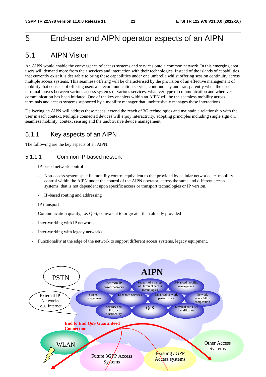## 5 End-user and AIPN operator aspects of an AIPN

## 5.1 AIPN Vision

An AIPN would enable the convergence of access systems and services onto a common network. In this emerging area users will demand more from their services and interaction with their technologies. Instead of the islands of capabilities that currently exist it is desirable to bring these capabilities under one umbrella whilst offering session continuity across multiple access systems. This seamless offering will be characterised by the provision of an effective management of mobility that consists of offering users a telecommunication service, continuously and transparently when the user"s terminal moves between various access systems or various services, whatever type of communication and wherever communication has been initiated. One of the key enablers within an AIPN will be the seamless mobility across terminals and access systems supported by a mobility manager that unobtrusively manages these interactions.

Delivering an AIPN will address these needs, extend the reach of 3G technologies and maintain a relationship with the user in each context. Multiple connected devices will enjoy interactivity, adopting principles including single sign on, seamless mobility, context sensing and the unobtrusive device management.

### 5.1.1 Key aspects of an AIPN

The following are the key aspects of an AIPN:

#### 5.1.1.1 Common IP-based network

- IP-based network control
	- Non-access system specific mobility control equivalent to that provided by cellular networks i.e. mobility control within the AIPN under the control of the AIPN operator, across the same and different access systems, that is not dependent upon specific access or transport technologies or IP version.
	- IP-based routing and addressing
- IP transport
- Communication quality, i.e. QoS, equivalent to or greater than already provided
- Inter-working with IP networks
- Inter-working with legacy networks
- Functionality at the edge of the network to support different access systems, legacy equipment.

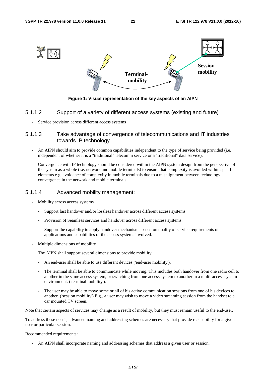

**Figure 1: Visual representation of the key aspects of an AIPN** 

### 5.1.1.2 Support of a variety of different access systems (existing and future)

Service provision across different access systems

### 5.1.1.3 Take advantage of convergence of telecommunications and IT industries towards IP technology

- An AIPN should aim to provide common capabilities independent to the type of service being provided (i.e. independent of whether it is a "traditional" telecomm service or a "traditional" data service).
- Convergence with IP technology should be considered within the AIPN system design from the perspective of the system as a whole (i.e. network and mobile terminals) to ensure that complexity is avoided within specific elements e.g. avoidance of complexity in mobile terminals due to a misalignment between technology convergence in the network and mobile terminals.

#### 5.1.1.4 Advanced mobility management:

- Mobility across access systems.
	- Support fast handover and/or lossless handover across different access systems
	- Provision of Seamless services and handover across different access systems.
	- Support the capability to apply handover mechanisms based on quality of service requirements of applications and capabilities of the access systems involved.
- Multiple dimensions of mobility

The AIPN shall support several dimensions to provide mobility:

- An end-user shall be able to use different devices ('end-user mobility').
- The terminal shall be able to communicate while moving. This includes both handover from one radio cell to another in the same access system, or switching from one access system to another in a multi-access system environment. ('terminal mobility').
- The user may be able to move some or all of his active communication sessions from one of his devices to another. ('session mobility') E.g., a user may wish to move a video streaming session from the handset to a car mounted TV screen.

Note that certain aspects of services may change as a result of mobility, but they must remain useful to the end-user.

To address these needs, advanced naming and addressing schemes are necessary that provide reachability for a given user or particular session.

#### Recommended requirements:

- An AIPN shall incorporate naming and addressing schemes that address a given user or session.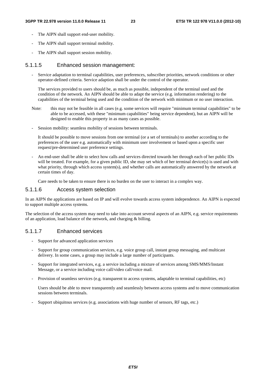- The AIPN shall support end-user mobility.
- The AIPN shall support terminal mobility.
- The AIPN shall support session mobility.

#### 5.1.1.5 Enhanced session management:

- Service adaptation to terminal capabilities, user preferences, subscriber priorities, network conditions or other operator-defined criteria. Service adaption shall be under the control of the operator.

The services provided to users should be, as much as possible, independent of the terminal used and the condition of the network. An AIPN should be able to adapt the service (e.g. information rendering) to the capabilities of the terminal being used and the condition of the network with minimum or no user interaction.

- Note: this may not be feasible in all cases (e.g. some services will require "minimum terminal capabilities" to be able to be accessed, with these "minimum capabilities" being service dependent), but an AIPN will be designed to enable this property in as many cases as possible.
- Session mobility: seamless mobility of sessions between terminals.

It should be possible to move sessions from one terminal (or a set of terminals) to another according to the preferences of the user e.g. automatically with minimum user involvement or based upon a specific user request/pre-determined user preference settings.

- An end-user shall be able to select how calls and services directed towards her through each of her public IDs will be treated. For example, for a given public ID, she may set which of her terminal device(s) is used and with what priority, through which access system(s), and whether calls are automatically answered by the network at certain times of day.

Care needs to be taken to ensure there is no burden on the user to interact in a complex way.

### 5.1.1.6 Access system selection

In an AIPN the applications are based on IP and will evolve towards access system independence. An AIPN is expected to support multiple access systems.

The selection of the access system may need to take into account several aspects of an AIPN, e.g. service requirements of an application, load balance of the network, and charging & billing.

### 5.1.1.7 Enhanced services

- Support for advanced application services
- Support for group communication services, e.g. voice group call, instant group messaging, and multicast delivery. In some cases, a group may include a large number of participants.
- Support for integrated services, e.g. a service including a mixture of services among SMS/MMS/Instant Message, or a service including voice call/video call/voice mail.
- Provision of seamless services (e.g. transparent to access systems, adaptable to terminal capabilities, etc)

 Users should be able to move transparently and seamlessly between access systems and to move communication sessions between terminals.

- Support ubiquitous services (e.g. associations with huge number of sensors, RF tags, etc.)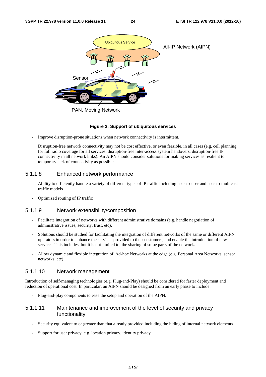

#### **Figure 2: Support of ubiquitous services**

Improve disruption-prone situations when network connectivity is intermittent.

Disruption-free network connectivity may not be cost effective, or even feasible, in all cases (e.g. cell planning for full radio coverage for all services, disruption-free inter-access system handovers, disruption-free IP connectivity in all network links). An AIPN should consider solutions for making services as resilient to temporary lack of connectivity as possible.

### 5.1.1.8 Enhanced network performance

- Ability to efficiently handle a variety of different types of IP traffic including user-to-user and user-to-multicast traffic models
- Optimized routing of IP traffic

#### 5.1.1.9 Network extensibility/composition

- Facilitate integration of networks with different administrative domains (e.g. handle negotiation of administrative issues, security, trust, etc).
- Solutions should be studied for facilitating the integration of different networks of the same or different AIPN operators in order to enhance the services provided to their customers, and enable the introduction of new services. This includes, but it is not limited to, the sharing of some parts of the network.
- Allow dynamic and flexible integration of 'Ad-hoc Networks at the edge (e.g. Personal Area Networks, sensor networks, etc).

#### 5.1.1.10 Network management

Introduction of self-managing technologies (e.g. Plug-and-Play) should be considered for faster deployment and reduction of operational cost. In particular, an AIPN should be designed from an early phase to include:

- Plug-and-play components to ease the setup and operation of the AIPN.

### 5.1.1.11 Maintenance and improvement of the level of security and privacy functionality

- Security equivalent to or greater than that already provided including the hiding of internal network elements
- Support for user privacy, e.g. location privacy, identity privacy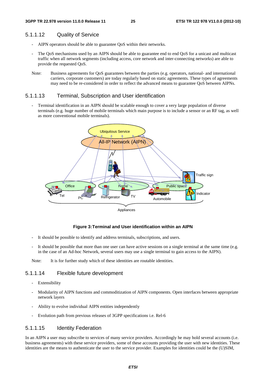#### 5.1.1.12 Quality of Service

- AIPN operators should be able to guarantee QoS within their networks.
- The QoS mechanisms used by an AIPN should be able to guarantee end to end QoS for a unicast and multicast traffic when all network segments (including access, core network and inter-connecting networks) are able to provide the requested QoS.
- Note: Business agreements for QoS guarantees between the parties (e.g. operators, national- and international carriers, corporate customers) are today regularly based on static agreements. These types of agreements may need to be re-considered in order to reflect the advanced means to guarantee QoS between AIPNs.

#### 5.1.1.13 Terminal, Subscription and User identification

Terminal identification in an AIPN should be scalable enough to cover a very large population of diverse terminals (e.g. huge number of mobile terminals which main purpose is to include a sensor or an RF tag, as well as more conventional mobile terminals).



#### **Figure 3: Terminal and User identification within an AIPN**

- It should be possible to identify and address terminals, subscriptions, and users.
- It should be possible that more than one user can have active sessions on a single terminal at the same time (e.g. in the case of an Ad-hoc Network, several users may use a single terminal to gain access to the AIPN).

Note: It is for further study which of these identities are routable identities.

### 5.1.1.14 Flexible future development

- Extensibility
- Modularity of AIPN functions and commoditization of AIPN components. Open interfaces between appropriate network layers
- Ability to evolve individual AIPN entities independently
- Evolution path from previous releases of 3GPP specifications i.e. Rel-6

#### 5.1.1.15 Identity Federation

In an AIPN a user may subscribe to services of many service providers. Accordingly he may hold several accounts (i.e. business agreements) with these service providers, some of these accounts providing the user with new identities. These identities are the means to authenticate the user to the service provider. Examples for identities could be the (U)SIM,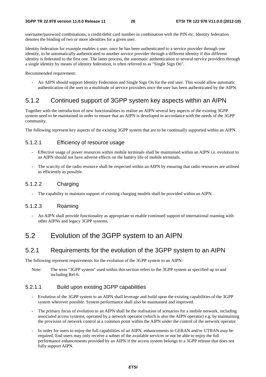username/password combinations, a credit/debit card number in combination with the PIN etc. Identity federation denotes the binding of two or more identities for a given user.

Identity federation for example enables a user, once he has been authenticated to a service provider through one identity, to be automatically authenticated to another service provider through a different identity if this different identity is federated to the first one. The latter process, the automatic authentication to several service providers through a single identity by means of identity federation, is often referred to as "Single Sign On".

Recommended requirement:

- An AIPN should support Identity Federation and Single Sign On for the end user. This would allow automatic authentication of the user to a multitude of service providers once the user has been authenticated by the AIPN.

## 5.1.2 Continued support of 3GPP system key aspects within an AIPN

Together with the introduction of new functionalities to realise an AIPN several key aspects of the existing 3GPP system need to be maintained in order to ensure that an AIPN is developed in accordance with the needs of the 3GPP community.

The following represent key aspects of the existing 3GPP system that are to be continually supported within an AIPN.

### 5.1.2.1 Efficiency of resource usage

- Effective usage of power resources within mobile terminals shall be maintained within an AIPN i.e. evolution to an AIPN should not have adverse effects on the battery life of mobile terminals.
- The scarcity of the radio resource shall be respected within an AIPN by ensuring that radio resources are utilised as efficiently as possible.

### 5.1.2.2 Charging

The capability to maintain support of existing charging models shall be provided within an AIPN.

### 5.1.2.3 Roaming

- An AIPN shall provide functionality as appropriate to enable continued support of international roaming with other AIPNs and legacy 3GPP systems.

## 5.2 Evolution of the 3GPP system to an AIPN

### 5.2.1 Requirements for the evolution of the 3GPP system to an AIPN

The following represent requirements for the evolution of the 3GPP system to an AIPN:

Note: The term "3GPP system" used within this section refers to the 3GPP system as specified up to and including Rel-6.

### 5.2.1.1 Build upon existing 3GPP capabilities

- Evolution of the 3GPP system to an AIPN shall leverage and build upon the existing capabilities of the 3GPP system wherever possible. System performance shall also be maintained and improved.
- The primary focus of evolution to an AIPN shall be the realisation of scenarios for a mobile network, including associated access systems, operated by a network operator (which is also the AIPN operator) e.g. by maintaining the provision of network control at a common point within the AIPN under the control of the network operator.
- In order for users to enjoy the full capabilities of an AIPN, enhancements to GERAN and/or UTRAN may be required. End users may only receive a subset of the available services or not be able to enjoy the full performance enhancements provided by an AIPN if the access system belongs to a 3GPP release that does not fully support AIPN.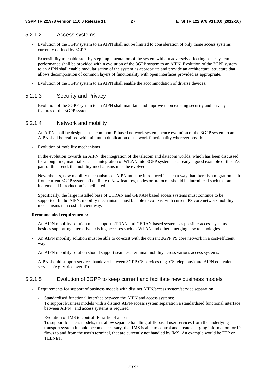#### 5.2.1.2 Access systems

- Evolution of the 3GPP system to an AIPN shall not be limited to consideration of only those access systems currently defined by 3GPP.
- Extensibility to enable step-by-step implementation of the system without adversely affecting basic system performance shall be provided within evolution of the 3GPP system to an AIPN. Evolution of the 3GPP system to an AIPN shall enable modularisation of the system as appropriate and provide an architectural structure that allows decomposition of common layers of functionality with open interfaces provided as appropriate.
- Evolution of the 3GPP system to an AIPN shall enable the accommodation of diverse devices.

### 5.2.1.3 Security and Privacy

- Evolution of the 3GPP system to an AIPN shall maintain and improve upon existing security and privacy features of the 3GPP system.

### 5.2.1.4 Network and mobility

- An AIPN shall be designed as a common IP-based network system, hence evolution of the 3GPP system to an AIPN shall be realised with minimum duplication of network functionality wherever possible.
- Evolution of mobility mechanisms

 In the evolution towards an AIPN, the integration of the telecom and datacom worlds, which has been discussed for a long time, materializes. The integration of WLAN into 3GPP systems is already a good example of this. As part of this trend, the mobility mechanisms must be evolved.

 Nevertheless, new mobility mechanisms of AIPN must be introduced in such a way that there is a migration path from current 3GPP systems (i.e., Rel-6). New features, nodes or protocols should be introduced such that an incremental introduction is facilitated.

 Specifically, the large installed base of UTRAN and GERAN based access systems must continue to be supported. In the AIPN, mobility mechanisms must be able to co-exist with current PS core network mobility mechanisms in a cost-efficient way.

#### **Recommended requirements:**

- An AIPN mobility solution must support UTRAN and GERAN based systems as possible access systems besides supporting alternative existing accesses such as WLAN and other emerging new technologies.
- An AIPN mobility solution must be able to co-exist with the current 3GPP PS core network in a cost-efficient way.
- An AIPN mobility solution should support seamless terminal mobility across various access systems.
- AIPN should support services handover between 3GPP CS services (e.g. CS telephony) and AIPN equivalent services (e.g. Voice over IP).

#### 5.2.1.5 Evolution of 3GPP to keep current and facilitate new business models

- Requirements for support of business models with distinct AIPN/access system/service separation
	- Standardised functional interface between the AIPN and access systems: To support business models with a distinct AIPN/access system separation a standardised functional interface between AIPN and access systems is required.
	- Evolution of IMS to control IP traffic of a user To support business models, that allow separate handling of IP based user services from the underlying transport system it could become necessary, that IMS is able to control and create charging information for IP flows to and from the user's terminal, that are currently not handled by IMS. An example would be FTP or TELNET.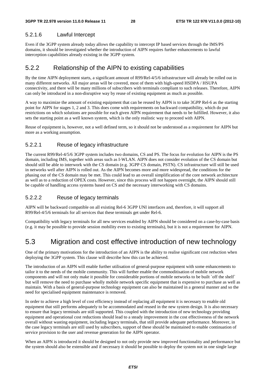### 5.2.1.6 Lawful Intercept

Even if the 3GPP system already today allows the capability to intercept IP based services through the IMS/PS domains, it should be investigated whether the introduction of AIPN requires further enhancements to lawful interception capabilities already existing in the 3GPP system.

### 5.2.2 Relationship of the AIPN to existing capabilities

By the time AIPN deployment starts, a significant amount of R99/Rel-4/5/6 infrastructure will already be rolled out in many different networks. All major areas will be covered, most of them with high-speed HSDPA / HSUPA connectivity, and there will be many millions of subscribers with terminals compliant to such releases. Therefore, AIPN can only be introduced in a non-disruptive way by reuse of existing equipment as much as possible.

A way to maximize the amount of existing equipment that can be reused by AIPN is to take 3GPP Rel-6 as the starting point for AIPN for stages 1, 2 and 3. This does come with requirements on backward compatibility, which do put restrictions on which solutions are possible for each given AIPN requirement that needs to be fulfilled. However, it also sets the starting point as a well known system, which is the only realistic way to proceed with AIPN.

Reuse of equipment is, however, not a well defined term, so it should not be understood as a requirement for AIPN but more as a working assumption.

### 5.2.2.1 Reuse of legacy infrastructure

The current R99/Rel-4/5/6 3GPP system includes two domains, CS and PS. The focus for evolution for AIPN is the PS domain, including IMS, together with areas such as I-WLAN. AIPN does not consider evolution of the CS domain but should still be able to interwork with the CS domain (e.g. 3GPP CS domain, PSTN). CS infrastructure will still be used in networks well after AIPN is rolled out. As the AIPN becomes more and more widespread, the conditions for the phasing out of the CS domain may be met. This could lead to an overall simplification of the core network architecture as well as to a reduction of OPEX costs. However, since this process will not happen overnight, the AIPN should still be capable of handling access systems based on CS and the necessary interworking with CS domains.

### 5.2.2.2 Reuse of legacy terminals

AIPN will be backward compatible on all existing Rel-6 3GPP UNI interfaces and, therefore, it will support all R99/Rel-4/5/6 terminals for all services that these terminals get under Rel-6.

Compatibility with legacy terminals for all new services enabled by AIPN should be considered on a case-by-case basis (e.g. it may be possible to provide session mobility even to existing terminals), but it is not a requirement for AIPN.

## 5.3 Migration and cost effective introduction of new technology

One of the primary motivations for the introduction of an AIPN is the ability to realise significant cost reduction when deploying the 3GPP system. This clause will describe how this can be achieved.

The introduction of an AIPN will enable further utilisation of general-purpose equipment with some enhancements to tailor it to the needs of the mobile community. This will further enable the commoditisation of mobile network components and will not only make it possible for considerable portions of mobile networks to be built `off the shelf` but will remove the need to purchase wholly mobile network specific equipment that is expensive to purchase as well as maintain. With a basis of general-purpose technology equipment can also be maintained in a general manner and so the need for specialised equipment maintenance is removed.

In order to achieve a high level of cost efficiency instead of replacing all equipment it is necessary to enable old equipment that still performs adequately to be accommodated and reused in the new system design. It is also necessary to ensure that legacy terminals are still supported. This coupled with the introduction of new technology providing equipment and operational cost reductions should lead to a steady improvement in the cost effectiveness of the network overall without wasting equipment, including legacy terminals, that still provide adequate performance. Moreover, in the case legacy terminals are still used by subscribers, support of these should be maintained to enable continuation of service provision to the user and revenue generation for the AIPN operator.

When an AIPN is introduced it should be designed to not only provide new improved functionality and performance but the system should also be extensible and if necessary it should be possible to deploy the system not in one single large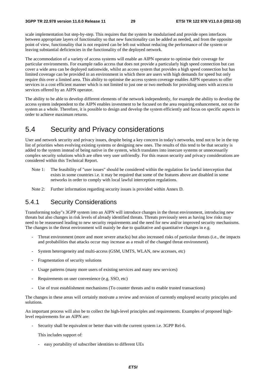scale implementation but step-by-step. This requires that the system be modularised and provide open interfaces between appropriate layers of functionality so that new functionality can be added as needed, and from the opposite point of view, functionality that is not required can be left out without reducing the performance of the system or leaving substantial deficiencies in the functionality of the deployed network.

The accommodation of a variety of access systems will enable an AIPN operator to optimise their coverage for particular environments. For example radio access that does not provide a particularly high speed connection but can cover a wide area can be deployed nationwide, whilst an access system that provides a high speed connection but has limited coverage can be provided in an environment in which there are users with high demands for speed but only require this over a limited area. This ability to optimise the access system coverage enables AIPN operators to offer services in a cost efficient manner which is not limited to just one or two methods for providing users with access to services offered by an AIPN operator.

The ability to be able to develop different elements of the network independently, for example the ability to develop the access system independent to the AIPN enables investment to be focused on the area requiring enhancement, not on the system as a whole. Therefore, it is possible to design and develop the system efficiently and focus on specific aspects in order to achieve maximum returns.

## 5.4 Security and Privacy considerations

User and network security and privacy issues, despite being a key concern in today's networks, tend not to be in the top list of priorities when evolving existing systems or designing new ones. The results of this tend to be that security is added to the system instead of being native in the system, which translates into insecure systems or unnecessarily complex security solutions which are often very user unfriendly. For this reason security and privacy considerations are considered within this Technical Report.

- Note 1: The feasibility of "user issues" should be considered within the regulation for lawful interception that exists in some countries i.e. it may be required that some of the features above are disabled in some networks in order to comply with local lawful interception regulations.
- Note 2: Further information regarding security issues is provided within Annex D.

### 5.4.1 Security Considerations

Transforming today"s 3GPP system into an AIPN will introduce changes in the threat environment, introducing new threats but also changes in risk levels of already identified threats. Threats previously seen as having low risks may need to be reassessed leading to new security requirements and the need for new and/or improved security mechanisms. The changes in the threat environment will mainly be due to qualitative and quantitative changes in e.g.

- Threat environment (more and more severe attacks) but also increased risks of particular threats (i.e., the impacts and probabilities that attacks occur may increase as a result of the changed threat environment).
- System heterogeneity and multi-access (GSM, UMTS, WLAN, new accesses, etc)
- Fragmentation of security solutions
- Usage patterns (many more users of existing services and many new services)
- Requirements on user convenience (e.g. SSO, etc)
- Use of trust establishment mechanisms (To counter threats and to enable trusted transactions)

The changes in these areas will certainly motivate a review and revision of currently employed security principles and solutions.

An important process will also be to collect the high-level principles and requirements. Examples of proposed highlevel requirements for an AIPN are:

Security shall be equivalent or better than with the current system i.e. 3GPP Rel-6.

This includes support of:

- easy portability of subscriber identities to different UEs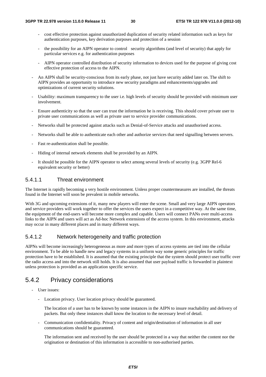- cost effective protection against unauthorized duplication of security related information such as keys for authentication purposes, key derivation purposes and protection of a session
- the possibility for an AIPN operator to control security algorithms (and level of security) that apply for particular services e.g. for authentication purposes
- AIPN operator controlled distribution of security information to devices used for the purpose of giving cost effective protection of access to the AIPN.
- An AIPN shall be security-conscious from its early phase, not just have security added later on. The shift to AIPN provides an opportunity to introduce new security paradigms and enhancements/upgrades and optimizations of current security solutions.
- Usability: maximum transparency to the user i.e. high levels of security should be provided with minimum user involvement.
- Ensure authenticity so that the user can trust the information he is receiving. This should cover private user to private user communications as well as private user to service provider communications.
- Networks shall be protected against attacks such as Denial-of-Service attacks and unauthorised access.
- Networks shall be able to authenticate each other and authorize services that need signalling between servers.
- Fast re-authentication shall be possible.
- Hiding of internal network elements shall be provided by an AIPN.
- It should be possible for the AIPN operator to select among several levels of security (e.g. 3GPP Rel-6 equivalent security or better)

### 5.4.1.1 Threat environment

The Internet is rapidly becoming a very hostile environment. Unless proper countermeasures are installed, the threats found in the Internet will soon be prevalent in mobile networks.

With 3G and upcoming extensions of it, many new players will enter the scene. Small and very large AIPN operators and service providers will work together to offer the services the users expect in a competitive way. At the same time, the equipment of the end-users will become more complex and capable. Users will connect PANs over multi-access links to the AIPN and users will act as Ad-hoc Network extensions of the access system. In this environment, attacks may occur in many different places and in many different ways.

### 5.4.1.2 Network heterogeneity and traffic protection

AIPNs will become increasingly heterogeneous as more and more types of access systems are tied into the cellular environment. To be able to handle new and legacy systems in a uniform way some generic principles for traffic protection have to be established. It is assumed that the existing principle that the system should protect user traffic over the radio access and into the network still holds. It is also assumed that user payload traffic is forwarded in plaintext unless protection is provided as an application specific service.

## 5.4.2 Privacy considerations

- User issues:
	- Location privacy. User location privacy should be guaranteed.

 The location of a user has to be known by some instances in the AIPN to insure reachability and delivery of packets. But only these instances shall know the location to the necessary level of detail.

- Communication confidentiality. Privacy of content and origin/destination of information in all user communications should be guaranteed.

 The information sent and received by the user should be protected in a way that neither the content nor the origination or destination of this information is accessible to non-authorised parties.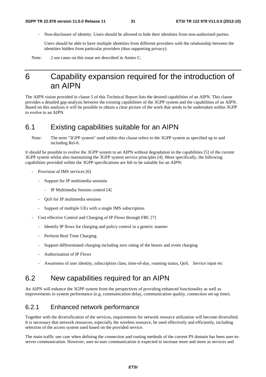- Non-disclosure of identity. Users should be allowed to hide their identities from non-authorised parties.

 Users should be able to have multiple identities from different providers with the relationship between the identities hidden from particular providers (thus supporting privacy).

Note: 2 use cases on this issue are described in Annex C.

## 6 Capability expansion required for the introduction of an AIPN

The AIPN vision provided in clause 5 of this Technical Report lists the desired capabilities of an AIPN. This clause provides a detailed gap-analysis between the existing capabilities of the 3GPP system and the capabilities of an AIPN. Based on this analysis it will be possible to obtain a clear picture of the work that needs to be undertaken within 3GPP to evolve to an AIPN.

## 6.1 Existing capabilities suitable for an AIPN

Note: The term "3GPP system" used within this clause refers to the 3GPP system as specified up to and including Rel-6.

It should be possible to evolve the 3GPP system to an AIPN without degradation in the capabilities [5] of the current 3GPP system whilst also maintaining the 3GPP system service principles [4]. More specifically, the following capabilities provided within the 3GPP specifications are felt to be suitable for an AIPN:

- Provision of IMS services [6]
	- Support for IP multimedia sessions
		- IP Multimedia Session control [4]
	- QoS for IP multimedia sessions
	- Support of multiple UEs with a single IMS subscription.
- Cost effective Control and Charging of IP Flows through FBC [7]
	- Identify IP flows for charging and policy control in a generic manner
	- Perform Real Time Charging
	- Support differentiated charging including zero rating of the bearer and event charging
	- Authorization of IP Flows
	- Awareness of user identity, subscription class, time-of-day, roaming status, QoS, Service input etc

## 6.2 New capabilities required for an AIPN

An AIPN will enhance the 3GPP system from the perspectives of providing enhanced functionality as well as improvements in system performance (e.g. communication delay, communication quality, connection set-up time).

### 6.2.1 Enhanced network performance

Together with the diversification of the services, requirements for network resource utilization will become diversified. It is necessary that network resources, especially the wireless resource, be used effectively and efficiently, including selection of the access system used based on the provided service.

The main traffic use case when defining the connection and routing methods of the current PS domain has been user-toserver communication. However, user-to-user communication is expected to increase more and more as services and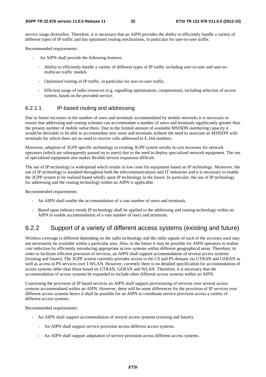service usage diversifies. Therefore, it is necessary that an AIPN provides the ability to efficiently handle a variety of different types of IP traffic and has optimized routing mechanisms, in particular for user-to-user traffic.

Recommended requirements:

- An AIPN shall provide the following features:
	- Ability to efficiently handle a variety of different types of IP traffic including user-to-user and user-tomulticast traffic models
	- Optimized routing of IP traffic, in particular for user-to-user traffic.
	- Efficient usage of radio resources (e.g. signalling optimization, compression), including selection of access system, based on the provided service.

### 6.2.1.1 IP-based routing and addressing

Due to future increases in the number of users and terminals accommodated by mobile networks it is necessary to ensure that addressing and routing schemes can accommodate a number of users and terminals significantly greater than the present number of mobile subscribers. Due to the limited amount of available MSISDN numbering capacity it would be desirable to be able to accommodate new users and terminals without the need to associate an MSISDN with terminals for which there are no need to receive calls addressed to E.164 numbers.

Moreover, adoption of 3GPP specific technology in existing 3GPP system results in cost increases for network operators (which are subsequently passed on to users) due to the need to deploy specialised network equipment. The use of specialised equipment also makes flexible service expansion difficult.

The use of IP technology is widespread which results in low costs for equipment based on IP technology. Moreover, the use of IP technology is standard throughout both the telecommunications and IT industries and it is necessary to enable the 3GPP system to be realised based wholly upon IP technology in the future. In particular, the use of IP technology for addressing and the routing technology within an AIPN is applicable.

Recommended requirements:

- An AIPN shall enable the accommodation of a vast number of users and terminals.
- Based upon industry trends IP technology shall be applied to the addressing and routing technology within an AIPN to enable accommodation of a vast number of users and terminals.

### 6.2.2 Support of a variety of different access systems (existing and future)

Wireless coverage is different depending on the radio technology and the radio signals of each of the accesses used may not necessarily be available within a particular area. Also, in the future it may be possible for AIPN operators to realise cost reduction by efficiently introducing appropriate access systems within different geographical areas. Therefore, in order to facilitate efficient provision of services, an AIPN shall support accommodation of several access systems (existing and future). The 3GPP system currently provides access to the CS and PS domain via UTRAN and GERAN as well as access to PS services over I-WLAN. However, currently there is no detailed specification for accommodation of access systems other than those based on UTRAN, GERAN and WLAN. Therefore, it is necessary that the accommodation of access systems be expanded to include other different access systems within an AIPN.

Concerning the provision of IP based services an AIPN shall support provisioning of services over several access systems accommodated within an AIPN. However, there will be some differences for the provision of IP services over different access systems hence it shall be possible for an AIPN to coordinate service provision across a variety of different access systems.

Recommended requirements:

- An AIPN shall support accommodation of several access systems (existing and future).
	- An AIPN shall support service provision across different access systems.
	- An AIPN shall support adaptation of service provision across different access systems.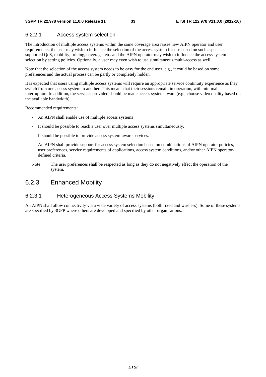### 6.2.2.1 Access system selection

The introduction of multiple access systems within the same coverage area raises new AIPN operator and user requirements; the user may wish to influence the selection of the access system for use based on such aspects as supported QoS, mobility, pricing, coverage, etc. and the AIPN operator may wish to influence the access system selection by setting policies. Optionally, a user may even wish to use simultaneous multi-access as well.

Note that the selection of the access system needs to be easy for the end user, e.g., it could be based on some preferences and the actual process can be partly or completely hidden.

It is expected that users using multiple access systems will require an appropriate service continuity experience as they switch from one access system to another. This means that their sessions remain in operation, with minimal interruption. In addition, the services provided should be made access system aware (e.g., choose video quality based on the available bandwidth).

Recommended requirements:

- An AIPN shall enable use of multiple access systems
- It should be possible to reach a user over multiple access systems simultaneously.
- It should be possible to provide access system-aware services.
- An AIPN shall provide support for access system selection based on combinations of AIPN operator policies, user preferences, service requirements of applications, access system conditions, and/or other AIPN operatordefined criteria.
- Note: The user preferences shall be respected as long as they do not negatively effect the operation of the system.

### 6.2.3 Enhanced Mobility

### 6.2.3.1 Heterogeneous Access Systems Mobility

An AIPN shall allow connectivity via a wide variety of access systems (both fixed and wireless). Some of these systems are specified by 3GPP where others are developed and specified by other organisations.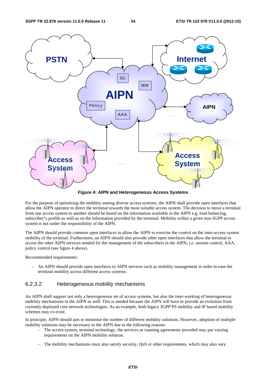

**Figure 4: AIPN and Heterogeneous Access Systems** 

For the purpose of optimising the mobility among diverse access systems, the AIPN shall provide open interfaces that allow the AIPN operator to direct the terminal towards the most suitable access system. The decision to move a terminal from one access system to another should be based on the information available in the AIPN e.g. load balancing, subscriber"s profile as well as on the information provided by the terminal. Mobility within a given non-3GPP access system is not under the responsibility of the AIPN.

The AIPN should provide common open interfaces to allow the AIPN to exercise the control on the inter-access system mobility of the terminal. Furthermore, an AIPN should also provide other open interfaces that allow the terminal to access the other AIPN services needed for the management of the subscribers in the AIPN, i.e. session control, AAA, policy control (see figure 4 above).

Recommended requirements:

An AIPN should provide open interfaces to AIPN services such as mobility management in order to ease the terminal mobility across different access systems.

### 6.2.3.2 Heterogeneous mobility mechanisms

An AIPN shall support not only a heterogeneous set of access systems, but also the inter-working of heterogeneous mobility mechanisms in the AIPN as well. This is needed because the AIPN will have to provide an evolution from currently deployed core network technologies. As an example, both legacy 3GPP PS mobility and IP based mobility schemes may co-exist.

In principle, AIPN should aim to minimise the number of different mobility solutions. However, adoption of multiple mobility solutions may be necessary in the AIPN due to the following reasons:

- The access system, terminal technology, the services or roaming agreements provided may put varying requirements on the AIPN mobility solution.
- The mobility mechanisms must also satisfy security, QoS or other requirements, which may also vary.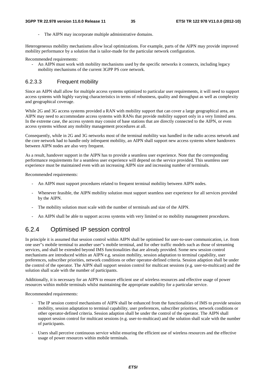The AIPN may incorporate multiple administrative domains.

Heterogeneous mobility mechanisms allow local optimizations. For example, parts of the AIPN may provide improved mobility performance by a solution that is tailor-made for the particular network configuration.

Recommended requirements:

- An AIPN must work with mobility mechanisms used by the specific networks it connects, including legacy mobility mechanisms of the current 3GPP PS core network.

#### 6.2.3.3 Frequent mobility

Since an AIPN shall allow for multiple access systems optimized to particular user requirements, it will need to support access systems with highly varying characteristics in terms of robustness, quality and throughput as well as complexity and geographical coverage.

While 2G and 3G access systems provided a RAN with mobility support that can cover a large geographical area, an AIPN may need to accommodate access systems with RANs that provide mobility support only in a very limited area. In the extreme case, the access system may consist of base stations that are directly connected to the AIPN, or even access systems without any mobility management procedures at all.

Consequently, while in 2G and 3G networks most of the terminal mobility was handled in the radio access network and the core network had to handle only infrequent mobility, an AIPN shall support new access systems where handovers between AIPN nodes are also very frequent.

As a result, handover support in the AIPN has to provide a seamless user experience. Note that the corresponding performance requirements for a seamless user experience will depend on the service provided. This seamless user experience must be maintained even with an increasing AIPN size and increasing number of terminals.

Recommended requirements:

- An AIPN must support procedures related to frequent terminal mobility between AIPN nodes.
- Whenever feasible, the AIPN mobility solution must support seamless user experience for all services provided by the AIPN.
- The mobility solution must scale with the number of terminals and size of the AIPN.
- An AIPN shall be able to support access systems with very limited or no mobility management procedures.

### 6.2.4 Optimised IP session control

In principle it is assumed that session control within AIPN shall be optimised for user-to-user communication, i.e. from one user"s mobile terminal to another user"s mobile terminal, and for other traffic models such as those of streaming services, and shall be extended beyond IMS functionalities that are already provided. Some new session control mechanisms are introduced within an AIPN e.g. session mobility, session adaptation to terminal capability, user preferences, subscriber priorities, network conditions or other operator-defined criteria. Session adaption shall be under the control of the operator. The AIPN shall support session control for multicast sessions (e.g. user-to-multicast) and the solution shall scale with the number of participants.

Additionally, it is necessary for an AIPN to ensure efficient use of wireless resources and effective usage of power resources within mobile terminals whilst maintaining the appropriate usability for a particular service.

Recommended requirements:

- The IP session control mechanisms of AIPN shall be enhanced from the functionalities of IMS to provide session mobility, session adaptation to terminal capability, user preferences, subscriber priorities, network conditions or other operator-defined criteria. Session adaption shall be under the control of the operator. The AIPN shall support session control for multicast sessions (e.g. user-to-multicast) and the solution shall scale with the number of participants.
- Users shall perceive continuous service whilst ensuring the efficient use of wireless resources and the effective usage of power resources within mobile terminals.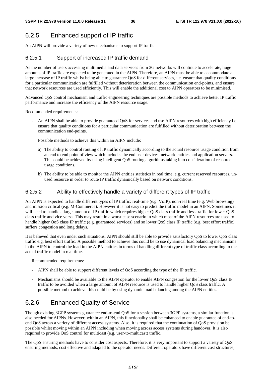## 6.2.5 Enhanced support of IP traffic

An AIPN will provide a variety of new mechanisms to support IP traffic.

### 6.2.5.1 Support of increased IP traffic demand

As the number of users accessing multimedia and data services from 3G networks will continue to accelerate, huge amounts of IP traffic are expected to be generated in the AIPN. Therefore, an AIPN must be able to accommodate a large increase of IP traffic whilst being able to guarantee QoS for different services, i.e. ensure that quality conditions for a particular communication are fulfilled without deterioration between the communication end-points, and ensure that network resources are used efficiently. This will enable the additional cost to AIPN operators to be minimised.

Advanced QoS control mechanism and traffic engineering techniques are possible methods to achieve better IP traffic performance and increase the efficiency of the AIPN resource usage.

Recommended requirements:

An AIPN shall be able to provide guaranteed OoS for services and use AIPN resources with high efficiency i.e. ensure that quality conditions for a particular communication are fulfilled without deterioration between the communication end-points.

Possible methods to achieve this within an AIPN include:

- a) The ability to control routing of IP traffic dynamically according to the actual resource usage condition from an end to end point of view which includes the end user devices, network entities and application servers. This could be achieved by using intelligent QoS routing algorithms taking into consideration of resource usage conditions.
- b) The ability to be able to monitor the AIPN entities statistics in real time, e.g. current reserved resources, unused resource in order to route IP traffic dynamically based on network conditions.

### 6.2.5.2 Ability to effectively handle a variety of different types of IP traffic

An AIPN is expected to handle different types of IP traffic: real-time (e.g. VoIP), non-real time (e.g. Web browsing) and mission critical (e.g. M-Commerce). However it is not easy to predict the traffic model in an AIPN. Sometimes it will need to handle a large amount of IP traffic which requires higher QoS class traffic and less traffic for lower QoS class traffic and vice versa. This may result in a worst case scenario in which most of the AIPN resources are used to handle higher QoS class IP traffic (e.g. guaranteed services) and so lower QoS class IP traffic (e.g. best effort traffic) suffers congestion and long delays.

It is believed that even under such situations, AIPN should still be able to provide satisfactory QoS to lower QoS class traffic e.g. best effort traffic. A possible method to achieve this could be to use dynamical load balancing mechanisms in the AIPN to control the load in the AIPN entities in terms of handling different type of traffic class according to the actual traffic model in real time.

Recommended requirements:

- AIPN shall be able to support different levels of QoS according the type of the IP traffic.
- Mechanisms should be available to the AIPN operator to enable AIPN congestion for the lower QoS class IP traffic to be avoided when a large amount of AIPN resource is used to handle higher QoS class traffic. A possible method to achieve this could be by using dynamic load balancing among the AIPN entities.

## 6.2.6 Enhanced Quality of Service

Though existing 3GPP systems guarantee end-to-end QoS for a session between 3GPP systems, a similar function is also needed for AIPNs. However, within an AIPN, this functionality shall be enhanced to enable guarantee of end-toend QoS across a variety of different access systems. Also, it is required that the continuation of QoS provision be possible whilst moving within an AIPN including when moving across access systems during handover. It is also required to provide QoS control for multicast (e.g. user-to-multicast) traffic.

The QoS ensuring methods have to consider cost aspects. Therefore, it is very important to support a variety of QoS ensuring methods, cost effective and adapted to the operator needs. Different operators have different cost structures,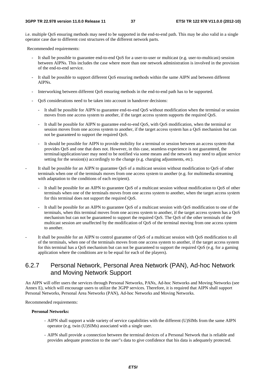i.e. multiple QoS ensuring methods may need to be supported in the end-to-end path. This may be also valid in a single operator case due to different cost structures of the different network parts.

Recommended requirements:

- It shall be possible to guarantee end-to-end QoS for a user-to-user or multicast (e.g. user-to-multicast) session between AIPNs. This includes the case where more than one network administration is involved in the provision of the end-to-end service.
- It shall be possible to support different QoS ensuring methods within the same AIPN and between different AIPNs.
- Interworking between different QoS ensuring methods in the end-to-end path has to be supported.
- QoS considerations need to be taken into account in handover decisions:
	- It shall be possible for AIPN to guarantee end-to-end QoS without modification when the terminal or session moves from one access system to another, if the target access system supports the required QoS.
	- It shall be possible for AIPN to guarantee end-to-end QoS, with QoS modification, when the terminal or session moves from one access system to another, if the target access system has a QoS mechanism but can not be guaranteed to support the required QoS.
	- It should be possible for AIPN to provide mobility for a terminal or session between an access system that provides QoS and one that does not. However, in this case, seamless experience is not guaranteed, the terminal/application/user may need to be notified via some means and the network may need to adjust service setting for the session(s) accordingly to the change (e.g. charging adjustments, etc).
- It shall be possible for an AIPN to guarantee QoS of a multicast session without modification to QoS of other terminals when one of the terminals moves from one access system to another (e.g. for multimedia streaming with adaptation to the conditions of each recipient).
	- It shall be possible for an AIPN to guarantee QoS of a multicast session without modification to QoS of other terminals when one of the terminals moves from one access system to another, when the target access system for this terminal does not support the required QoS.
	- It shall be possible for an AIPN to guarantee OoS of a multicast session with OoS modification to one of the terminals, when this terminal moves from one access system to another, if the target access system has a QoS mechanism but can not be guaranteed to support the required QoS. The QoS of the other terminals of the multicast session are unaffected by the modification of QoS of the terminal moving from one access system to another.
- It shall be possible for an AIPN to control guarantee of QoS of a multicast session with QoS modification to all of the terminals, when one of the terminals moves from one access system to another, if the target access system for this terminal has a QoS mechanism but can not be guaranteed to support the required QoS (e.g. for a gaming application where the conditions are to be equal for each of the players).

## 6.2.7 Personal Network, Personal Area Network (PAN), Ad-hoc Network and Moving Network Support

An AIPN will offer users the services through Personal Networks, PANs, Ad-hoc Networks and Moving Networks (see Annex E), which will encourage users to utilize the 3GPP services. Therefore, it is required that AIPN shall support Personal Networks, Personal Area Networks (PAN), Ad-hoc Networks and Moving Networks.

Recommended requirements:

#### **Personal Networks:**

- AIPN shall support a wide variety of service capabilities with the different (U)SIMs from the same AIPN operator (e.g. twin (U)SIMs) associated with a single user.
- AIPN shall provide a connection between the terminal devices of a Personal Network that is reliable and provides adequate protection to the user"s data to give confidence that his data is adequately protected.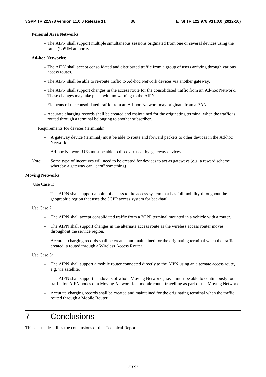#### **Personal Area Networks:**

- The AIPN shall support multiple simultaneous sessions originated from one or several devices using the same (U)SIM authority.

#### **Ad-hoc Networks:**

- The AIPN shall accept consolidated and distributed traffic from a group of users arriving through various access routes.
- The AIPN shall be able to re-route traffic to Ad-hoc Network devices via another gateway.
- The AIPN shall support changes in the access route for the consolidated traffic from an Ad-hoc Network. These changes may take place with no warning to the AIPN.
- Elements of the consolidated traffic from an Ad-hoc Network may originate from a PAN.
- Accurate charging records shall be created and maintained for the originating terminal when the traffic is routed through a terminal belonging to another subscriber.

Requirements for devices (terminals):

- A gateway device (terminal) must be able to route and forward packets to other devices in the Ad-hoc Network
- Ad-hoc Network UEs must be able to discover 'near by' gateway devices
- Note: Some type of incentives will need to be created for devices to act as gateways (e.g. a reward scheme whereby a gateway can "earn" something)

#### **Moving Networks:**

Use Case 1:

The AIPN shall support a point of access to the access system that has full mobility throughout the geographic region that uses the 3GPP access system for backhaul.

#### Use Case 2

- The AIPN shall accept consolidated traffic from a 3GPP terminal mounted in a vehicle with a router.
- The AIPN shall support changes in the alternate access route as the wireless access router moves throughout the service region.
- Accurate charging records shall be created and maintained for the originating terminal when the traffic created is routed through a Wireless Access Router.

Use Case 3:

- The AIPN shall support a mobile router connected directly to the AIPN using an alternate access route, e.g. via satellite.
- The AIPN shall support handovers of whole Moving Networks; i.e. it must be able to continuously route traffic for AIPN nodes of a Moving Network to a mobile router travelling as part of the Moving Network
- Accurate charging records shall be created and maintained for the originating terminal when the traffic routed through a Mobile Router.

## 7 Conclusions

This clause describes the conclusions of this Technical Report.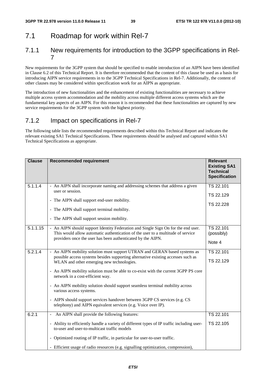## 7.1 Roadmap for work within Rel-7

### 7.1.1 New requirements for introduction to the 3GPP specifications in Rel-7

New requirements for the 3GPP system that should be specified to enable introduction of an AIPN have been identified in Clause 6.2 of this Technical Report. It is therefore recommended that the content of this clause be used as a basis for introducing AIPN service requirements in to the 3GPP Technical Specifications in Rel-7. Additionally, the content of other clauses may be considered within specification work for an AIPN as appropriate.

The introduction of new functionalities and the enhancement of existing functionalities are necessary to achieve multiple access system accommodation and the mobility across multiple different access systems which are the fundamental key aspects of an AIPN. For this reason it is recommended that these functionalities are captured by new service requirements for the 3GPP system with the highest priority.

## 7.1.2 Impact on specifications in Rel-7

The following table lists the recommended requirements described within this Technical Report and indicates the relevant existing SA1 Technical Specifications. These requirements should be analysed and captured within SA1 Technical Specifications as appropriate.

| <b>Clause</b> | <b>Recommended requirement</b>                                                                                                                                                                                                                                                                                                                                                                                                                                                                                                                                                                | <b>Relevant</b><br><b>Existing SA1</b><br><b>Technical</b><br><b>Specification</b> |
|---------------|-----------------------------------------------------------------------------------------------------------------------------------------------------------------------------------------------------------------------------------------------------------------------------------------------------------------------------------------------------------------------------------------------------------------------------------------------------------------------------------------------------------------------------------------------------------------------------------------------|------------------------------------------------------------------------------------|
| 5.1.1.4       | - An AIPN shall incorporate naming and addressing schemes that address a given<br>user or session.<br>- The AIPN shall support end-user mobility.<br>- The AIPN shall support terminal mobility.<br>- The AIPN shall support session mobility.                                                                                                                                                                                                                                                                                                                                                | TS 22.101<br>TS 22.129<br>TS 22.228                                                |
| 5.1.1.15      | - An AIPN should support Identity Federation and Single Sign On for the end user.<br>This would allow automatic authentication of the user to a multitude of service<br>providers once the user has been authenticated by the AIPN.                                                                                                                                                                                                                                                                                                                                                           | TS 22.101<br>(possibly)<br>Note 4                                                  |
| 5.2.1.4       | - An AIPN mobility solution must support UTRAN and GERAN based systems as<br>possible access systems besides supporting alternative existing accesses such as<br>WLAN and other emerging new technologies.<br>- An AIPN mobility solution must be able to co-exist with the current 3GPP PS core<br>network in a cost-efficient way.<br>- An AIPN mobility solution should support seamless terminal mobility across<br>various access systems.<br>- AIPN should support services handover between 3GPP CS services (e.g. CS<br>telephony) and AIPN equivalent services (e.g. Voice over IP). | TS 22.101<br>TS 22.129                                                             |
| 6.2.1         | An AIPN shall provide the following features:<br>- Ability to efficiently handle a variety of different types of IP traffic including user-<br>to-user and user-to-multicast traffic models<br>- Optimized routing of IP traffic, in particular for user-to-user traffic.<br>- Efficient usage of radio resources (e.g. signalling optimization, compression),                                                                                                                                                                                                                                | TS 22.101<br>TS 22.105                                                             |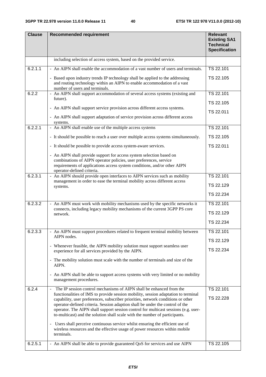| <b>Clause</b> | <b>Recommended requirement</b>                                                                                                                                                                                                                                                                                                                                                                                                | <b>Relevant</b><br><b>Existing SA1</b><br><b>Technical</b><br><b>Specification</b> |
|---------------|-------------------------------------------------------------------------------------------------------------------------------------------------------------------------------------------------------------------------------------------------------------------------------------------------------------------------------------------------------------------------------------------------------------------------------|------------------------------------------------------------------------------------|
|               | including selection of access system, based on the provided service.                                                                                                                                                                                                                                                                                                                                                          |                                                                                    |
| 6.2.1.1       | - An AIPN shall enable the accommodation of a vast number of users and terminals.                                                                                                                                                                                                                                                                                                                                             | TS 22.101                                                                          |
|               | - Based upon industry trends IP technology shall be applied to the addressing<br>and routing technology within an AIPN to enable accommodation of a vast<br>number of users and terminals.                                                                                                                                                                                                                                    | TS 22.105                                                                          |
| 6.2.2         | - An AIPN shall support accommodation of several access systems (existing and<br>future).                                                                                                                                                                                                                                                                                                                                     | TS 22.101                                                                          |
|               |                                                                                                                                                                                                                                                                                                                                                                                                                               | TS 22.105                                                                          |
|               | - An AIPN shall support service provision across different access systems.                                                                                                                                                                                                                                                                                                                                                    | TS 22.011                                                                          |
|               | - An AIPN shall support adaptation of service provision across different access<br>systems.                                                                                                                                                                                                                                                                                                                                   |                                                                                    |
| 6.2.2.1       | - An AIPN shall enable use of the multiple access systems                                                                                                                                                                                                                                                                                                                                                                     | TS 22.101                                                                          |
|               | - It should be possible to reach a user over multiple access systems simultaneously.                                                                                                                                                                                                                                                                                                                                          | TS 22.105                                                                          |
|               | - It should be possible to provide access system-aware services.                                                                                                                                                                                                                                                                                                                                                              | TS 22.011                                                                          |
|               | - An AIPN shall provide support for access system selection based on<br>combinations of AIPN operator policies, user preferences, service<br>requirements of applications access system conditions, and/or other AIPN<br>operator-defined criteria.                                                                                                                                                                           |                                                                                    |
| 6.2.3.1       | - An AIPN should provide open interfaces to AIPN services such as mobility<br>management in order to ease the terminal mobility across different access                                                                                                                                                                                                                                                                       | TS 22.101                                                                          |
|               | systems.                                                                                                                                                                                                                                                                                                                                                                                                                      | TS 22.129                                                                          |
|               |                                                                                                                                                                                                                                                                                                                                                                                                                               | TS 22.234                                                                          |
| 6.2.3.2       | - An AIPN must work with mobility mechanisms used by the specific networks it                                                                                                                                                                                                                                                                                                                                                 | TS 22.101                                                                          |
|               | connects, including legacy mobility mechanisms of the current 3GPP PS core<br>network.                                                                                                                                                                                                                                                                                                                                        | TS 22.129                                                                          |
|               |                                                                                                                                                                                                                                                                                                                                                                                                                               | TS 22.234                                                                          |
| 6.2.3.3       | - An AIPN must support procedures related to frequent terminal mobility between                                                                                                                                                                                                                                                                                                                                               | TS 22.101                                                                          |
|               | AIPN nodes.                                                                                                                                                                                                                                                                                                                                                                                                                   | TS 22.129                                                                          |
|               | - Whenever feasible, the AIPN mobility solution must support seamless user<br>experience for all services provided by the AIPN.                                                                                                                                                                                                                                                                                               | TS 22.234                                                                          |
|               | - The mobility solution must scale with the number of terminals and size of the<br>AIPN.                                                                                                                                                                                                                                                                                                                                      |                                                                                    |
|               | - An AIPN shall be able to support access systems with very limited or no mobility<br>management procedures.                                                                                                                                                                                                                                                                                                                  |                                                                                    |
| 6.2.4         | The IP session control mechanisms of AIPN shall be enhanced from the<br>$\blacksquare$                                                                                                                                                                                                                                                                                                                                        | TS 22.101                                                                          |
|               | functionalities of IMS to provide session mobility, session adaptation to terminal<br>capability, user preferences, subscriber priorities, network conditions or other<br>operator-defined criteria. Session adaption shall be under the control of the<br>operator. The AIPN shall support session control for multicast sessions (e.g. user-<br>to-multicast) and the solution shall scale with the number of participants. | TS 22.228                                                                          |
|               | - Users shall perceive continuous service whilst ensuring the efficient use of<br>wireless resources and the effective usage of power resources within mobile<br>terminals.                                                                                                                                                                                                                                                   |                                                                                    |
| 6.2.5.1       | - An AIPN shall be able to provide guaranteed QoS for services and use AIPN                                                                                                                                                                                                                                                                                                                                                   | TS 22.105                                                                          |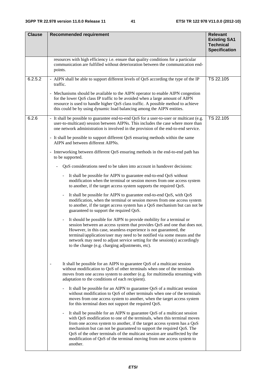| <b>Clause</b> | <b>Recommended requirement</b>                                                                                                                                                                                                                                                                                                                                                                                                                                                                           | <b>Relevant</b><br><b>Existing SA1</b><br><b>Technical</b><br><b>Specification</b> |  |  |  |  |  |  |  |  |
|---------------|----------------------------------------------------------------------------------------------------------------------------------------------------------------------------------------------------------------------------------------------------------------------------------------------------------------------------------------------------------------------------------------------------------------------------------------------------------------------------------------------------------|------------------------------------------------------------------------------------|--|--|--|--|--|--|--|--|
|               | resources with high efficiency i.e. ensure that quality conditions for a particular<br>communication are fulfilled without deterioration between the communication end-<br>points.                                                                                                                                                                                                                                                                                                                       |                                                                                    |  |  |  |  |  |  |  |  |
| 6.2.5.2       | - AIPN shall be able to support different levels of QoS according the type of the IP<br>TS 22.105<br>traffic.                                                                                                                                                                                                                                                                                                                                                                                            |                                                                                    |  |  |  |  |  |  |  |  |
|               | - Mechanisms should be available to the AIPN operator to enable AIPN congestion<br>for the lower QoS class IP traffic to be avoided when a large amount of AIPN<br>resource is used to handle higher QoS class traffic. A possible method to achieve<br>this could be by using dynamic load balancing among the AIPN entities.                                                                                                                                                                           |                                                                                    |  |  |  |  |  |  |  |  |
| 6.2.6         | - It shall be possible to guarantee end-to-end QoS for a user-to-user or multicast (e.g.<br>user-to-multicast) session between AIPNs. This includes the case where more than<br>one network administration is involved in the provision of the end-to-end service.                                                                                                                                                                                                                                       | TS 22.105                                                                          |  |  |  |  |  |  |  |  |
|               | - It shall be possible to support different QoS ensuring methods within the same<br>AIPN and between different AIPNs.                                                                                                                                                                                                                                                                                                                                                                                    |                                                                                    |  |  |  |  |  |  |  |  |
|               | - Interworking between different QoS ensuring methods in the end-to-end path has<br>to be supported.                                                                                                                                                                                                                                                                                                                                                                                                     |                                                                                    |  |  |  |  |  |  |  |  |
|               | QoS considerations need to be taken into account in handover decisions:                                                                                                                                                                                                                                                                                                                                                                                                                                  |                                                                                    |  |  |  |  |  |  |  |  |
|               | It shall be possible for AIPN to guarantee end-to-end QoS without<br>$\blacksquare$<br>modification when the terminal or session moves from one access system<br>to another, if the target access system supports the required QoS.                                                                                                                                                                                                                                                                      |                                                                                    |  |  |  |  |  |  |  |  |
|               | It shall be possible for AIPN to guarantee end-to-end QoS, with QoS<br>$\qquad \qquad \blacksquare$<br>modification, when the terminal or session moves from one access system<br>to another, if the target access system has a QoS mechanism but can not be<br>guaranteed to support the required QoS.                                                                                                                                                                                                  |                                                                                    |  |  |  |  |  |  |  |  |
|               | It should be possible for AIPN to provide mobility for a terminal or<br>$\overline{\phantom{a}}$<br>session between an access system that provides QoS and one that does not.<br>However, in this case, seamless experience is not guaranteed, the<br>terminal/application/user may need to be notified via some means and the<br>network may need to adjust service setting for the session(s) accordingly<br>to the change (e.g. charging adjustments, etc).                                           |                                                                                    |  |  |  |  |  |  |  |  |
|               | It shall be possible for an AIPN to guarantee QoS of a multicast session<br>without modification to QoS of other terminals when one of the terminals<br>moves from one access system to another (e.g. for multimedia streaming with<br>adaptation to the conditions of each recipient).                                                                                                                                                                                                                  |                                                                                    |  |  |  |  |  |  |  |  |
|               | It shall be possible for an AIPN to guarantee QoS of a multicast session<br>without modification to QoS of other terminals when one of the terminals<br>moves from one access system to another, when the target access system<br>for this terminal does not support the required QoS.                                                                                                                                                                                                                   |                                                                                    |  |  |  |  |  |  |  |  |
|               | It shall be possible for an AIPN to guarantee QoS of a multicast session<br>$\qquad \qquad \blacksquare$<br>with QoS modification to one of the terminals, when this terminal moves<br>from one access system to another, if the target access system has a QoS<br>mechanism but can not be guaranteed to support the required QoS. The<br>QoS of the other terminals of the multicast session are unaffected by the<br>modification of QoS of the terminal moving from one access system to<br>another. |                                                                                    |  |  |  |  |  |  |  |  |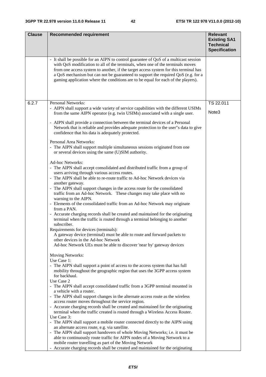| <b>Clause</b> | <b>Recommended requirement</b>                                                                                                                                                                                                                                                                                                                                                                                                            | <b>Relevant</b>                                                 |
|---------------|-------------------------------------------------------------------------------------------------------------------------------------------------------------------------------------------------------------------------------------------------------------------------------------------------------------------------------------------------------------------------------------------------------------------------------------------|-----------------------------------------------------------------|
|               |                                                                                                                                                                                                                                                                                                                                                                                                                                           | <b>Existing SA1</b><br><b>Technical</b><br><b>Specification</b> |
|               | - It shall be possible for an AIPN to control guarantee of QoS of a multicast session<br>with QoS modification to all of the terminals, when one of the terminals moves<br>from one access system to another, if the target access system for this terminal has<br>a QoS mechanism but can not be guaranteed to support the required QoS (e.g. for a<br>gaming application where the conditions are to be equal for each of the players). |                                                                 |
| 6.2.7         | Personal Networks:                                                                                                                                                                                                                                                                                                                                                                                                                        | TS 22.011                                                       |
|               | - AIPN shall support a wide variety of service capabilities with the different USIMs<br>from the same AIPN operator (e.g. twin USIMs) associated with a single user.                                                                                                                                                                                                                                                                      | Note3                                                           |
|               | - AIPN shall provide a connection between the terminal devices of a Personal<br>Network that is reliable and provides adequate protection to the user"s data to give<br>confidence that his data is adequately protected.                                                                                                                                                                                                                 |                                                                 |
|               | Personal Area Networks:<br>- The AIPN shall support multiple simultaneous sessions originated from one<br>or several devices using the same (U)SIM authority.                                                                                                                                                                                                                                                                             |                                                                 |
|               | Ad-hoc Networks:<br>- The AIPN shall accept consolidated and distributed traffic from a group of<br>users arriving through various access routes.<br>- The AIPN shall be able to re-route traffic to Ad-hoc Network devices via                                                                                                                                                                                                           |                                                                 |
|               | another gateway.<br>- The AIPN shall support changes in the access route for the consolidated<br>traffic from an Ad-hoc Network. These changes may take place with no<br>warning to the AIPN.                                                                                                                                                                                                                                             |                                                                 |
|               | - Elements of the consolidated traffic from an Ad-hoc Network may originate<br>from a PAN.                                                                                                                                                                                                                                                                                                                                                |                                                                 |
|               | - Accurate charging records shall be created and maintained for the originating<br>terminal when the traffic is routed through a terminal belonging to another<br>subscriber.                                                                                                                                                                                                                                                             |                                                                 |
|               | Requirements for devices (terminals):<br>A gateway device (terminal) must be able to route and forward packets to<br>other devices in the Ad-hoc Network                                                                                                                                                                                                                                                                                  |                                                                 |
|               | Ad-hoc Network UEs must be able to discover 'near by' gateway devices                                                                                                                                                                                                                                                                                                                                                                     |                                                                 |
|               | Moving Networks:<br>Use Case 1:                                                                                                                                                                                                                                                                                                                                                                                                           |                                                                 |
|               | - The AIPN shall support a point of access to the access system that has full<br>mobility throughout the geographic region that uses the 3GPP access system<br>for backhaul.                                                                                                                                                                                                                                                              |                                                                 |
|               | Use Case 2<br>- The AIPN shall accept consolidated traffic from a 3GPP terminal mounted in<br>a vehicle with a router.                                                                                                                                                                                                                                                                                                                    |                                                                 |
|               | - The AIPN shall support changes in the alternate access route as the wireless<br>access router moves throughout the service region.                                                                                                                                                                                                                                                                                                      |                                                                 |
|               | - Accurate charging records shall be created and maintained for the originating<br>terminal when the traffic created is routed through a Wireless Access Router.                                                                                                                                                                                                                                                                          |                                                                 |
|               | Use Case 3:<br>- The AIPN shall support a mobile router connected directly to the AIPN using                                                                                                                                                                                                                                                                                                                                              |                                                                 |
|               | an alternate access route, e.g. via satellite.<br>- The AIPN shall support handovers of whole Moving Networks; i.e. it must be                                                                                                                                                                                                                                                                                                            |                                                                 |
|               | mobile router travelling as part of the Moving Network                                                                                                                                                                                                                                                                                                                                                                                    |                                                                 |
|               | able to continuously route traffic for AIPN nodes of a Moving Network to a<br>- Accurate charging records shall be created and maintained for the originating                                                                                                                                                                                                                                                                             |                                                                 |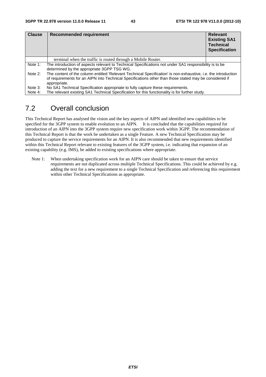| <b>Clause</b> | Recommended requirement                                                                                                                                                                                                                  | <b>Relevant</b><br><b>Existing SA1</b><br><b>Technical</b><br><b>Specification</b> |  |  |  |  |  |
|---------------|------------------------------------------------------------------------------------------------------------------------------------------------------------------------------------------------------------------------------------------|------------------------------------------------------------------------------------|--|--|--|--|--|
|               | terminal when the traffic is routed through a Mobile Router.                                                                                                                                                                             |                                                                                    |  |  |  |  |  |
| Note 1:       | The introduction of aspects relevant to Technical Specifications not under SA1 responsibility is to be<br>determined by the appropriate 3GPP TSG WG.                                                                                     |                                                                                    |  |  |  |  |  |
| Note 2:       | The content of the column entitled 'Relevant Technical Specification' is non-exhaustive, i.e. the introduction<br>of requirements for an AIPN into Technical Specifications other than those stated may be considered if<br>appropriate. |                                                                                    |  |  |  |  |  |
| Note 3:       | No SA1 Technical Specification appropriate to fully capture these requirements.                                                                                                                                                          |                                                                                    |  |  |  |  |  |
| Note 4:       | The relevant existing SA1 Technical Specification for this functionality is for further study.                                                                                                                                           |                                                                                    |  |  |  |  |  |

## 7.2 Overall conclusion

This Technical Report has analysed the vision and the key aspects of AIPN and identified new capabilities to be specified for the 3GPP system to enable evolution to an AIPN. It is concluded that the capabilities required for introduction of an AIPN into the 3GPP system require new specification work within 3GPP. The recommendation of this Technical Report is that the work be undertaken as a single Feature. A new Technical Specification may be produced to capture the service requirements for an AIPN. It is also recommended that new requirements identified within this Technical Report relevant to existing features of the 3GPP system, i.e. indicating that expansion of an existing capability (e.g. IMS), be added to existing specifications where appropriate.

Note 1: When undertaking specification work for an AIPN care should be taken to ensure that service requirements are not duplicated across multiple Technical Specifications. This could be achieved by e.g. adding the text for a new requirement to a single Technical Specification and referencing this requirement within other Technical Specifications as appropriate.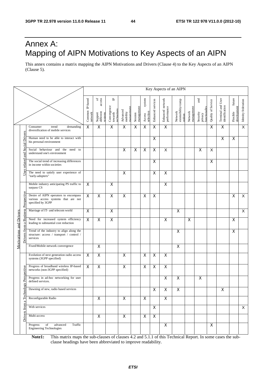## Annex A: Mapping of AIPN Motivations to Key Aspects of an AIPN

This annex contains a matrix mapping the AIPN Motivations and Drivers (Clause 4) to the Key Aspects of an AIPN (Clause 5).

|  |                                                                     |                                                                                                   |                            |                                                     |                                           |                                   |                       |                               |                         |                                 | Key Aspects of an AIPN                   |                       |                                             |                    |                                     |                                   |                         |
|--|---------------------------------------------------------------------|---------------------------------------------------------------------------------------------------|----------------------------|-----------------------------------------------------|-------------------------------------------|-----------------------------------|-----------------------|-------------------------------|-------------------------|---------------------------------|------------------------------------------|-----------------------|---------------------------------------------|--------------------|-------------------------------------|-----------------------------------|-------------------------|
|  |                                                                     |                                                                                                   | Common IP-based<br>network | of $\frac{1}{2}$<br>Support<br>different<br>systems | ٩<br>Convergence<br>towards<br>technology | managemen<br>Advanced<br>mobility | management<br>Session | system<br>selection<br>Access | Enhanced services       | Enhanced network<br>performance | Network<br>extensibility/comp<br>nsition | Network<br>management | and<br>functionality<br>Security<br>privacy | Quality of Service | Terminal and User<br>identification | future<br>development<br>Flexible | Identity federation     |
|  |                                                                     | Consumer<br>trend<br>demanding<br>diversification of mobile services                              | $\overline{\mathsf{x}}$    | $\overline{\mathsf{x}}$                             | $\overline{X}$                            | $\overline{\mathsf{x}}$           | X                     | $\mathsf X$                   | $\pmb{\times}$          | $\overline{\mathsf{x}}$         |                                          |                       |                                             | X                  | X                                   |                                   | $\overline{\mathsf{x}}$ |
|  | Social Drivers                                                      | Human need to be able to interact with<br>his personal environment                                |                            |                                                     |                                           |                                   |                       |                               | X                       |                                 |                                          |                       |                                             |                    | X                                   | $\mathsf X$                       |                         |
|  | $\overline{a}$                                                      | Social behaviour and<br>the<br>need<br>to<br>understand one's environment                         |                            |                                                     |                                           | $\mathsf X$                       | X                     | $\pmb{\mathsf{X}}$            | $\pmb{\times}$          | X                               |                                          |                       | X                                           | X                  |                                     |                                   |                         |
|  | related                                                             | The social trend of increasing differences<br>in income within societies                          |                            |                                                     |                                           |                                   |                       |                               | $\pmb{\times}$          |                                 |                                          |                       |                                             | $\pmb{\times}$     |                                     |                                   |                         |
|  | User                                                                | The need to satisfy user experience of<br>"early-adopters"                                        |                            |                                                     |                                           | $\mathsf X$                       |                       |                               | $\pmb{\times}$          | $\pmb{\times}$                  |                                          |                       |                                             |                    |                                     |                                   |                         |
|  |                                                                     | Mobile industry anticipating PS traffic to<br>surpass CS                                          | X                          |                                                     | $\overline{\mathsf{x}}$                   |                                   |                       |                               |                         | $\overline{\mathsf{x}}$         |                                          |                       |                                             |                    |                                     |                                   |                         |
|  | Perspective                                                         | Desire of AIPN operators to encompass<br>various access systems that are not<br>specified by 3GPP | $\overline{\mathsf{x}}$    | $\overline{\mathsf{x}}$                             | $\overline{\mathsf{x}}$                   | $\overline{\mathsf{x}}$           |                       | $\overline{\mathsf{x}}$       | $\overline{\mathsf{x}}$ |                                 |                                          |                       |                                             |                    |                                     | X                                 | $\overline{X}$          |
|  | <b>Business</b>                                                     | Marriage of IT- and telecom world                                                                 | $\overline{\mathsf{x}}$    |                                                     | $\overline{\mathsf{x}}$                   |                                   |                       |                               |                         |                                 | $\overline{\mathsf{x}}$                  |                       |                                             |                    |                                     |                                   | $\overline{\mathsf{x}}$ |
|  | <b>Motivations and Drivers</b><br>$\mathbf{\sigma}$<br>from<br>vers | Need for increased system efficiency<br>leading to substantial cost reduction                     | $\overline{\mathsf{x}}$    | $\overline{\mathsf{x}}$                             | $\overline{X}$                            |                                   |                       |                               |                         | $\pmb{\times}$                  |                                          | $\mathsf X$           |                                             |                    |                                     | X                                 |                         |
|  |                                                                     | Trend of the industry to align along the<br>structure: access / transport / control /<br>services |                            |                                                     |                                           |                                   |                       |                               |                         |                                 | X                                        |                       |                                             |                    |                                     | X                                 |                         |
|  |                                                                     | Fixed/Mobile network convergence                                                                  |                            | $\overline{\mathsf{x}}$                             |                                           |                                   |                       |                               |                         |                                 | $\boldsymbol{\mathsf{X}}$                |                       |                                             |                    |                                     |                                   |                         |
|  |                                                                     | Evolution of next generation radio access<br>systems (3GPP specified)                             | $\boldsymbol{\mathsf{X}}$  | $\pmb{\times}$                                      |                                           | $\mathsf X$                       |                       | $\mathsf X$                   | $\mathsf X$             | $\pmb{\times}$                  |                                          |                       |                                             |                    |                                     |                                   |                         |
|  |                                                                     | Progress of broadband wireless IP-based<br>networks (non-3GPP specified)                          | X                          | $\pmb{\times}$                                      |                                           | $\pmb{\times}$                    |                       | $\mathsf X$                   | X                       | $\pmb{\times}$                  |                                          |                       |                                             |                    |                                     |                                   |                         |
|  | gy Perspective                                                      | Progress in ad-hoc networking for user<br>defined services.                                       |                            |                                                     |                                           |                                   |                       |                               |                         | $\pmb{\times}$                  | $\pmb{\times}$                           |                       | X                                           |                    |                                     |                                   |                         |
|  |                                                                     | Dawning of new, radio based services                                                              |                            |                                                     |                                           |                                   |                       |                               | Χ                       | X                               | X                                        |                       |                                             |                    | X                                   |                                   |                         |
|  | a Technol                                                           | Reconfigurable Radio                                                                              |                            | $\mathsf{X}$                                        |                                           | $\pmb{\times}$                    |                       | X                             |                         | X                               |                                          |                       |                                             |                    |                                     |                                   |                         |
|  | from                                                                | Web services                                                                                      |                            |                                                     |                                           |                                   |                       |                               | X                       |                                 |                                          |                       |                                             |                    |                                     |                                   | $\mathsf{X}$            |
|  | Drivers                                                             | Multi-access                                                                                      |                            | X                                                   |                                           | X                                 |                       | X                             | $\mathsf{X}$            |                                 |                                          |                       |                                             |                    |                                     |                                   |                         |
|  |                                                                     | of<br>advanced<br>Traffic<br>Progress<br><b>Engineering Technologies</b>                          |                            |                                                     |                                           |                                   |                       |                               |                         | $\pmb{\mathsf{X}}$              |                                          |                       |                                             | $\pmb{\mathsf{X}}$ |                                     |                                   |                         |

**Note1:** This matrix maps the sub-clauses of clauses 4.2 and 5.1.1 of this Technical Report. In some cases the subclause headings have been abbreviated to improve readability.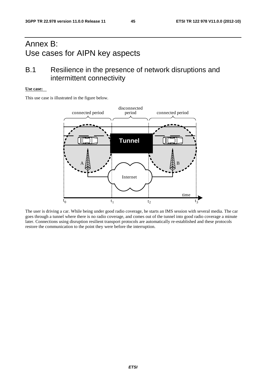## Annex B: Use cases for AIPN key aspects

## B.1 Resilience in the presence of network disruptions and intermittent connectivity

#### **Use case:**

This use case is illustrated in the figure below.



The user is driving a car. While being under good radio coverage, he starts an IMS session with several media. The car goes through a tunnel where there is no radio coverage, and comes out of the tunnel into good radio coverage a minute later. Connections using disruption resilient transport protocols are automatically re-established and these protocols restore the communication to the point they were before the interruption.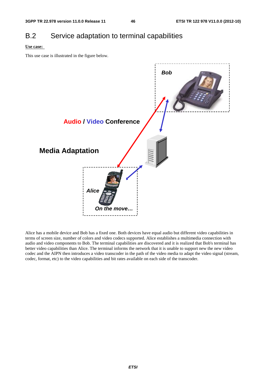## B.2 Service adaptation to terminal capabilities

#### **Use case:**

This use case is illustrated in the figure below.



Alice has a mobile device and Bob has a fixed one. Both devices have equal audio but different video capabilities in terms of screen size, number of colors and video codecs supported. Alice establishes a multimedia connection with audio and video components to Bob. The terminal capabilities are discovered and it is realized that Bob's terminal has better video capabilities than Alice. The terminal informs the network that it is unable to support new the new video codec and the AIPN then introduces a video transcoder in the path of the video media to adapt the video signal (stream, codec, format, etc) to the video capabilities and bit rates available on each side of the transcoder.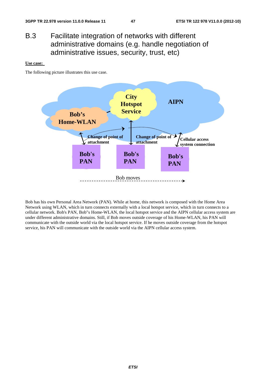## B.3 Facilitate integration of networks with different administrative domains (e.g. handle negotiation of administrative issues, security, trust, etc)

#### **Use case:**

The following picture illustrates this use case.



Bob has his own Personal Area Network (PAN). While at home, this network is composed with the Home Area Network using WLAN, which in turn connects externally with a local hotspot service, which in turn connects to a cellular network. Bob's PAN, Bob"s Home-WLAN, the local hotspot service and the AIPN cellular access system are under different administrative domains. Still, if Bob moves outside coverage of his Home-WLAN, his PAN will communicate with the outside world via the local hotspot service. If he moves outside coverage from the hotspot service, his PAN will communicate with the outside world via the AIPN cellular access system.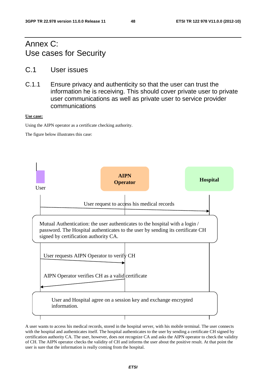## Annex C: Use cases for Security

- C.1 User issues
- C.1.1 Ensure privacy and authenticity so that the user can trust the information he is receiving. This should cover private user to private user communications as well as private user to service provider communications

#### **Use case:**

Using the AIPN operator as a certificate checking authority.

The figure below illustrates this case:



A user wants to access his medical records, stored in the hospital server, with his mobile terminal. The user connects with the hospital and authenticates itself. The hospital authenticates to the user by sending a certificate CH signed by certification authority CA. The user, however, does not recognize CA and asks the AIPN operator to check the validity of CH. The AIPN operator checks the validity of CH and informs the user about the positive result. At that point the user is sure that the information is really coming from the hospital.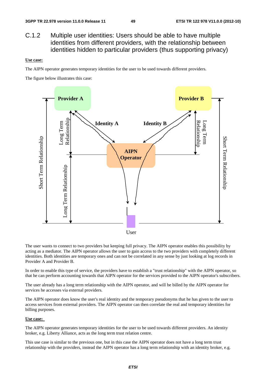C.1.2 Multiple user identities: Users should be able to have multiple identities from different providers, with the relationship between identities hidden to particular providers (thus supporting privacy)

#### **Use case:**

The AIPN operator generates temporary identities for the user to be used towards different providers.

The figure below illustrates this case:



The user wants to connect to two providers but keeping full privacy. The AIPN operator enables this possibility by acting as a mediator. The AIPN operator allows the user to gain access to the two providers with completely different identities. Both identities are temporary ones and can not be correlated in any sense by just looking at log records in Provider A and Provider B.

In order to enable this type of service, the providers have to establish a "trust relationship" with the AIPN operator, so that he can perform accounting towards that AIPN operator for the services provided to the AIPN operator's subscribers.

The user already has a long term relationship with the AIPN operator, and will be billed by the AIPN operator for services he accesses via external providers.

The AIPN operator does know the user's real identity and the temporary pseudonyms that he has given to the user to access services from external providers. The AIPN operator can then correlate the real and temporary identities for billing purposes.

#### **Use case:**

The AIPN operator generates temporary identities for the user to be used towards different providers. An identity broker, e.g. Liberty Alliance, acts as the long term trust relation centre.

This use case is similar to the previous one, but in this case the AIPN operator does not have a long term trust relationship with the providers, instead the AIPN operator has a long term relationship with an identity broker, e.g.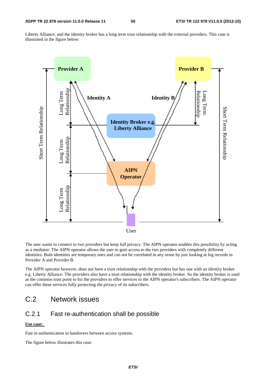Liberty Alliance, and the identity broker has a long term trust relationship with the external providers. This case is illustrated in the figure below:



The user wants to connect to two providers but keep full privacy. The AIPN operator enables this possibility by acting as a mediator. The AIPN operator allows the user to gain access to the two providers with completely different identities. Both identities are temporary ones and can not be correlated in any sense by just looking at log records in Provider A and Provider B.

The AIPN operator however, does not have a trust relationship with the providers but has one with an identity broker e.g. Liberty Alliance. The providers also have a trust relationship with the identity broker. So the identity broker is used as the common trust point to for the providers to offer services to the AIPN operator's subscribers. The AIPN operator can offer these services fully protecting the privacy of its subscribers.

## C.2 Network issues

### C.2.1 Fast re-authentication shall be possible

### **Use case:**

Fast re-authentication in handovers between access systems.

The figure below illustrates this case: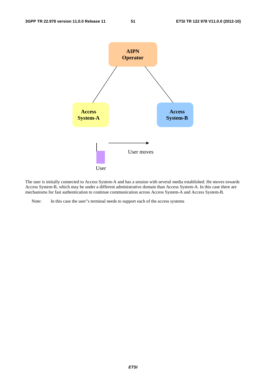

The user is initially connected to Access System-A and has a session with several media established. He moves towards Access System-B, which may be under a different administrative domain than Access System-A. In this case there are mechanisms for fast authentication to continue communication across Access System-A and Access System-B.

Note: In this case the user"s terminal needs to support each of the access systems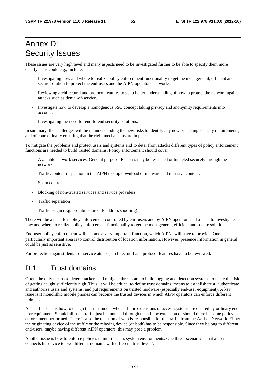## Annex D: Security Issues

These issues are very high level and many aspects need to be investigated further to be able to specify them more clearly. This could e.g., include:

- Investigating how and where to realize policy enforcement functionality to get the most general, efficient and secure solution to protect the end-users and the AIPN operators' networks.
- Reviewing architectural and protocol features to get a better understanding of how to protect the network against attacks such as denial-of-service.
- Investigate how to develop a homogenous SSO concept taking privacy and anonymity requirements into account.
- Investigating the need for end-to-end security solutions.

In summary, the challenges will be in understanding the new risks to identify any new or lacking security requirements, and of course finally ensuring that the right mechanisms are in place.

To mitigate the problems and protect users and systems and to deter from attacks different types of policy enforcement functions are needed to build trusted domains. Policy enforcement should cover

- Available network services. General purpose IP access may be restricted or tunneled securely through the network.
- Traffic/content inspection in the AIPN to stop download of malware and intrusive content.
- Spam control
- Blocking of non-trusted services and service providers
- Traffic separation
- Traffic origin (e.g. prohibit source IP address spoofing).

There will be a need for policy enforcement controlled by end-users and by AIPN operators and a need to investigate how and where to realize policy enforcement functionality to get the most general, efficient and secure solution.

End-user policy enforcement will become a very important function, which AIPNs will have to provide. One particularly important area is to control distribution of location information. However, presence information in general could be just as sensitive.

For protection against denial-of-service attacks, architectural and protocol features have to be reviewed**.** 

## D.1 Trust domains

Often, the only means to deter attackers and mitigate threats are to build logging and detection systems to make the risk of getting caught sufficiently high. Thus, it will be critical to define trust domains, means to establish trust, authenticate and authorize users and systems, and put requirements on trusted hardware (especially end-user equipment). A key issue is if monolithic mobile phones can become the trusted devices in which AIPN operators can enforce different policies.

A specific issue is how to design the trust model when ad-hoc extensions of access systems are offered by ordinary enduser equipment. Should all such traffic just be tunneled through the ad-hoc extension or should there be some policy enforcement performed. There is also the question of who is responsible for the traffic from the Ad-hoc Network. Either the originating device of the traffic or the relaying device (or both) has to be responsible. Since they belong to different end-users, maybe having different AIPN operators, this may pose a problem.

Another issue is how to enforce policies in multi-access system environments. One threat scenario is that a user connects his device to two different domains with different 'trust levels'.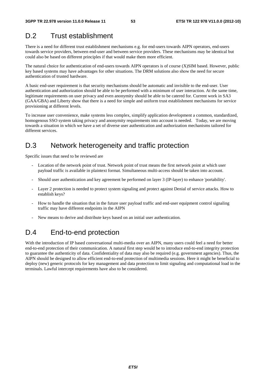## D.2 Trust establishment

There is a need for different trust establishment mechanisms e.g. for end-users towards AIPN operators, end-users towards service providers, between end-user and between service providers. These mechanisms may be identical but could also be based on different principles if that would make them more efficient.

The natural choice for authentication of end-users towards AIPN operators is of course (X)SIM based. However, public key based systems may have advantages for other situations. The DRM solutions also show the need for secure authentication of trusted hardware.

A basic end-user requirement is that security mechanisms should be automatic and invisible to the end-user. User authentication and authorization should be able to be performed with a minimum of user interaction. At the same time, legitimate requirements on user privacy and even anonymity should be able to be catered for. Current work in SA3 (GAA/GBA) and Liberty show that there is a need for simple and uniform trust establishment mechanisms for service provisioning at different levels.

To increase user convenience, make systems less complex, simplify application development a common, standardized, homogenous SSO system taking privacy and anonymity requirements into account is needed. Today, we are moving towards a situation in which we have a set of diverse user authentication and authorization mechanisms tailored for different services.

## D.3 Network heterogeneity and traffic protection

Specific issues that need to be reviewed are

- Location of the network point of trust. Network point of trust means the first network point at which user payload traffic is available in plaintext format. Simultaneous multi-access should be taken into account.
- Should user authentication and key agreement be performed on layer 3 (IP-layer) to enhance 'portability'.
- Layer 2 protection is needed to protect system signaling and protect against Denial of service attacks. How to establish keys?
- How to handle the situation that in the future user payload traffic and end-user equipment control signaling traffic may have different endpoints in the AIPN
- New means to derive and distribute keys based on an initial user authentication.

## D.4 End-to-end protection

With the introduction of IP based conversational multi-media over an AIPN, many users could feel a need for better end-to-end protection of their communication. A natural first step would be to introduce end-to-end integrity protection to guarantee the authenticity of data. Confidentiality of data may also be required (e.g. government agencies). Thus, the AIPN should be designed to allow efficient end-to-end protection of multimedia sessions. Here it might be beneficial to deploy (new) generic protocols for key management and data protection to limit signaling and computational load in the terminals. Lawful intercept requirements have also to be considered.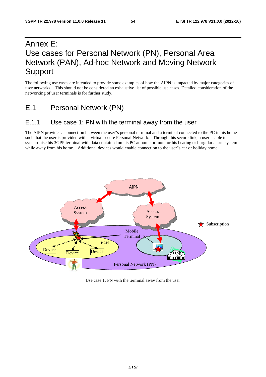## Annex E: Use cases for Personal Network (PN), Personal Area Network (PAN), Ad-hoc Network and Moving Network Support

The following use cases are intended to provide some examples of how the AIPN is impacted by major categories of user networks. This should not be considered an exhaustive list of possible use cases. Detailed consideration of the networking of user terminals is for further study.

E.1 Personal Network (PN)

## E.1.1 Use case 1: PN with the terminal away from the user

The AIPN provides a connection between the user"s personal terminal and a terminal connected to the PC in his home such that the user is provided with a virtual secure Personal Network. Through this secure link, a user is able to synchronise his 3GPP terminal with data contained on his PC at home or monitor his heating or burgular alarm system while away from his home. Additional devices would enable connection to the user"s car or holiday home.



Use case 1: PN with the terminal away from the user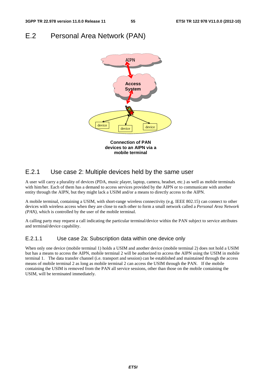## E.2 Personal Area Network (PAN)



### E.2.1 Use case 2: Multiple devices held by the same user

A user will carry a plurality of devices (PDA, music player, laptop, camera, headset, etc.) as well as mobile terminals with him/her. Each of them has a demand to access services provided by the AIPN or to communicate with another entity through the AIPN, but they might lack a USIM and/or a means to directly access to the AIPN.

A mobile terminal, containing a USIM, with short-range wireless connectivity (e.g. IEEE 802.15) can connect to other devices with wireless access when they are close to each other to form a small network called a *Personal Area Network (PAN),* which is controlled by the user of the mobile terminal.

A calling party may request a call indicating the particular terminal/device within the PAN subject to service attributes and terminal/device capability.

### E.2.1.1 Use case 2a: Subscription data within one device only

When only one device (mobile terminal 1) holds a USIM and another device (mobile terminal 2) does not hold a USIM but has a means to access the AIPN, mobile terminal 2 will be authorized to access the AIPN using the USIM in mobile terminal 1. The data transfer channel (i.e. transport and session) can be established and maintained through the access means of mobile terminal 2 as long as mobile terminal 2 can access the USIM through the PAN. If the mobile containing the USIM is removed from the PAN all service sessions, other than those on the mobile containing the USIM, will be terminated immediately.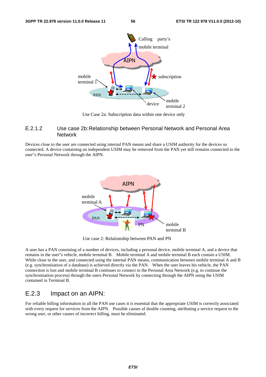

Use Case 2a: Subscription data within one device only

#### E.2.1.2 Use case 2b: Relationship between Personal Network and Personal Area **Network**

Devices close to the user are connected using internal PAN means and share a USIM authority for the devices so connected. A device containing an independent USIM may be removed from the PAN yet still remains connected to the user"s Personal Network through the AIPN.



Use case 2: Relationship between PAN and PN

A user has a PAN consisting of a number of devices, including a personal device, mobile terminal A, and a device that remains in the user"s vehicle, mobile terminal B. Mobile terminal A and mobile terminal B each contain a USIM. While close to the user, and connected using the internal PAN means, communication between mobile terminal A and B (e.g. synchronisation of a database) is achieved directly via the PAN. When the user leaves his vehicle, the PAN connection is lost and mobile terminal B continues to connect to the Personal Area Network (e.g. to continue the synchronisation process) through the users Personal Network by connecting through the AIPN using the USIM contained in Terminal B.

### E.2.3 Impact on an AIPN:

For reliable billing information in all the PAN use cases it is essential that the appropriate USIM is correctly associated with every request for services from the AIPN. Possible causes of double counting, attributing a service request to the wrong user, or other causes of incorrect billing, must be eliminated.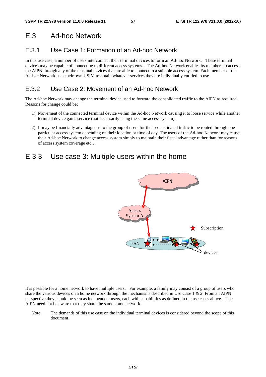## E.3 Ad-hoc Network

## E.3.1 Use Case 1: Formation of an Ad-hoc Network

In this use case, a number of users interconnect their terminal devices to form an Ad-hoc Network. These terminal devices may be capable of connecting to different access systems. The Ad-hoc Network enables its members to access the AIPN through any of the terminal devices that are able to connect to a suitable access system. Each member of the Ad-hoc Network uses their own USIM to obtain whatever services they are individually entitled to use.

## E.3.2 Use Case 2: Movement of an Ad-hoc Network

The Ad-hoc Network may change the terminal device used to forward the consolidated traffic to the AIPN as required. Reasons for change could be;

- 1) Movement of the connected terminal device within the Ad-hoc Network causing it to loose service while another terminal device gains service (not necessarily using the same access system).
- 2) It may be financially advantageous to the group of users for their consolidated traffic to be routed through one particular access system depending on their location or time of day. The users of the Ad-hoc Network may cause their Ad-hoc Network to change access system simply to maintain their fiscal advantage rather than for reasons of access system coverage etc…

## E.3.3 Use case 3: Multiple users within the home



It is possible for a home network to have multiple users. For example, a family may consist of a group of users who share the various devices on a home network through the mechanisms described in Use Case  $1 \& 2$ . From an AIPN perspective they should be seen as independent users, each with capabilities as defined in the use cases above. The AIPN need not be aware that they share the same home network.

Note: The demands of this use case on the individual terminal devices is considered beyond the scope of this document.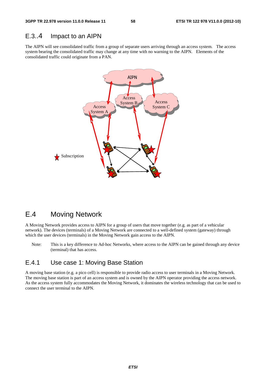### E.3..4 Impact to an AIPN

The AIPN will see consolidated traffic from a group of separate users arriving through an access system. The access system bearing the consolidated traffic may change at any time with no warning to the AIPN. Elements of the consolidated traffic could originate from a PAN.



## E.4 Moving Network

A Moving Network provides access to AIPN for a group of users that move together (e.g. as part of a vehicular network). The devices (terminals) of a Moving Network are connected to a well-defined system (gateway) through which the user devices (terminals) in the Moving Network gain access to the AIPN.

Note: This is a key difference to Ad-hoc Networks, where access to the AIPN can be gained through any device (terminal) that has access.

## E.4.1 Use case 1: Moving Base Station

A moving base station (e.g. a pico cell) is responsible to provide radio access to user terminals in a Moving Network. The moving base station is part of an access system and is owned by the AIPN operator providing the access network. As the access system fully accommodates the Moving Network, it dominates the wireless technology that can be used to connect the user terminal to the AIPN.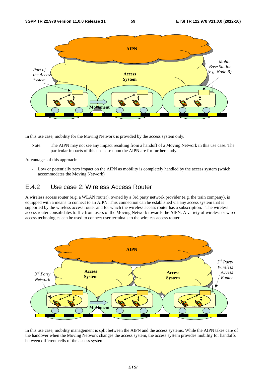

In this use case, mobility for the Moving Network is provided by the access system only.

Note: The AIPN may not see any impact resulting from a handoff of a Moving Network in this use case. The particular impacts of this use case upon the AIPN are for further study.

Advantages of this approach:

- Low or potentially zero impact on the AIPN as mobility is completely handled by the access system (which accommodates the Moving Network)

## E.4.2 Use case 2: Wireless Access Router

A wireless access router (e.g. a WLAN router), owned by a 3rd party network provider (e.g. the train company), is equipped with a means to connect to an AIPN. This connection can be established via any access system that is supported by the wireless access router and for which the wireless access router has a subscription. The wireless access router consolidates traffic from users of the Moving Network towards the AIPN. A variety of wireless or wired access technologies can be used to connect user terminals to the wireless access router.



In this use case, mobility management is split between the AIPN and the access systems. While the AIPN takes care of the handover when the Moving Network changes the access system, the access system provides mobility for handoffs between different cells of the access system.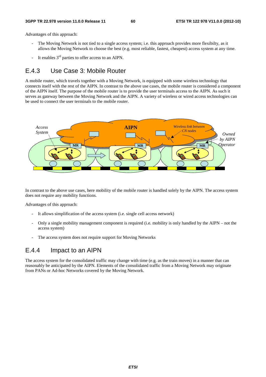Advantages of this approach:

- The Moving Network is not tied to a single access system; i.e. this approach provides more flexibilty, as it allows the Moving Network to choose the best (e.g. most reliable, fastest, cheapest) access system at any time.
- It enables  $3<sup>rd</sup>$  parties to offer access to an AIPN.

## E.4.3 Use Case 3: Mobile Router

A mobile router, which travels together with a Moving Network, is equipped with some wireless technology that connects itself with the rest of the AIPN. In contrast to the above use cases, the mobile router is considered a component of the AIPN itself. The purpose of the mobile router is to provide the user terminals access to the AIPN. As such it serves as gateway between the Moving Network and the AIPN. A variety of wireless or wired access technologies can be used to connect the user terminals to the mobile router.



In contrast to the above use cases, here mobility of the mobile router is handled solely by the AIPN. The access system does not require any mobility functions.

Advantages of this approach:

- It allows simplification of the access system (i.e. single cell access network)
- Only a single mobility management component is required (i.e. mobility is only handled by the AIPN not the access system)
- The access system does not require support for Moving Networks

### E.4.4 Impact to an AIPN

The access system for the consolidated traffic may change with time (e.g. as the train moves) in a manner that can reasonably be anticipated by the AIPN. Elements of the consolidated traffic from a Moving Network may originate from PANs or Ad-hoc Networks covered by the Moving Network.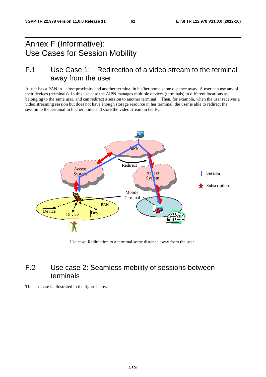## Annex F (Informative): Use Cases for Session Mobility

## F.1 Use Case 1: Redirection of a video stream to the terminal away from the user

A user has a PAN in close proximity and another terminal in his/her home some distance away. A user can use any of their devices (terminals). In this use case the AIPN manages multiple devices (terminals) in different locations as belonging to the same user, and can redirect a session to another terminal. Then, for example, when the user receives a video streaming session but does not have enough storage resource in her terminal, the user is able to redirect the session to the terminal in his/her home and store the video stream in her PC.



Use case: Redirection to a terminal some distance away from the user

## F.2 Use case 2: Seamless mobility of sessions between terminals

This use case is illustrated in the figure below.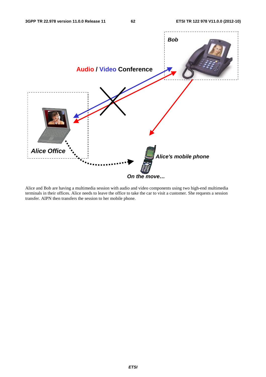

Alice and Bob are having a multimedia session with audio and video components using two high-end multimedia terminals in their offices. Alice needs to leave the office to take the car to visit a customer. She requests a session transfer. AIPN then transfers the session to her mobile phone.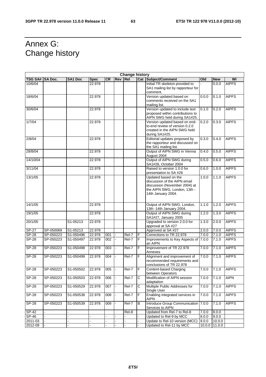## Annex G: Change history

| <b>Change history</b> |                |                         |             |           |            |            |                                                                                    |                                                                                                                                             |       |               |              |
|-----------------------|----------------|-------------------------|-------------|-----------|------------|------------|------------------------------------------------------------------------------------|---------------------------------------------------------------------------------------------------------------------------------------------|-------|---------------|--------------|
| <b>TSG SA#</b>        | <b>SA Doc.</b> | <b>SA1 Doc</b>          | <b>Spec</b> | <b>CR</b> | <b>Rev</b> | <b>Rel</b> |                                                                                    | <b>Cat Subject/Comment</b>                                                                                                                  | Old   | <b>New</b>    | WI           |
| 10/6/04               |                |                         | 22.978      |           |            |            |                                                                                    | Initial TR skeleton provided to<br>SA1 mailing list by rapporteur for<br>comment.                                                           |       | 0.0.0         | <b>AIPFS</b> |
| 18/6/04               |                |                         | 22.978      |           |            |            | Version updated based on<br>0.0.0<br>comments received on the SA1<br>mailing list. |                                                                                                                                             |       |               | <b>AIPFS</b> |
| 30/6/04               |                |                         | 22.978      |           |            |            |                                                                                    | Version updated to include text<br>proposed within contributions to<br>AIPN SWG held during SA1#25.                                         | 0.1.0 | 0.2.0         | <b>AIPFS</b> |
| 1/7/04                |                |                         | 22.978      |           |            |            |                                                                                    | Version updated based on end-<br>to-end review of version 0.2.0<br>created in the AIPN SWG held<br>during SA1#25.                           | 0.2.0 | 0.3.0         | <b>AIPFS</b> |
| 2/8/04                |                |                         | 22.978      |           |            |            |                                                                                    | Editorial updates proposed by<br>the rapporteur and discussed on<br>the SA1 mailing list.                                                   | 0.3.0 | 0.4.0         | <b>AIPFS</b> |
| 28/8/04               |                |                         | 22.978      |           |            |            |                                                                                    | Output of AIPN SWG in Vienna<br>August 2004                                                                                                 | 0.4.0 | 0.5.0         | <b>AIPFS</b> |
| 14/10/04              |                |                         | 22.978      |           |            |            |                                                                                    | Output of AIPN SWG during<br>SA1#26, October 2004                                                                                           | 0.5.0 | 0.6.0         | <b>AIPFS</b> |
| 3/11/04               |                |                         | 22.978      |           |            |            |                                                                                    | Raised to version 1.0.0 for<br>presentation to SA #26                                                                                       | 0.6.0 | 1.0.0         | <b>AIPFS</b> |
| 13/1/05               |                |                         | 22.978      |           |            |            |                                                                                    | Updated based on the<br>discussion of the AIPN email<br>discussion (November 2004) at<br>the AIPN SWG, London, 13th -<br>14th January 2004. | 1.0.0 | 1.1.0         | <b>AIPFS</b> |
| 14/1/05               |                |                         | 22.978      |           |            |            |                                                                                    | Output of AIPN SWG, London,<br>13th -14th January 2004.                                                                                     | 1.1.0 | 1.2.0         | <b>AIPFS</b> |
| 19/1/05               |                |                         | 22.978      |           |            |            |                                                                                    | Output of AIPN SWG during<br>SA1#27, January 2005                                                                                           | 1.2.0 | 1.3.0         | <b>AIPFS</b> |
| 20/1/05               |                | S1-05213                | 22.978      |           |            |            |                                                                                    | Upgraded to version 2.0.0 for<br>approval at SA #27                                                                                         | 1.3.0 | 2.0.0         | <b>AIPFS</b> |
| $SP-27$               | SP-050069      | S1-05213                | 22.978      |           |            |            |                                                                                    | Approved at SA #27                                                                                                                          | 2.0.0 | 7.0.0         | <b>AIPFS</b> |
| $S P - 28$            | SP-050223      | S1-050496               | 22.978      | 001       |            | Rel-7      | F                                                                                  | Corrections to TR 22.978                                                                                                                    | 7.0.0 | 7.1.0         | <b>AIPFS</b> |
| <b>SP-28</b>          | SP-050223      | S1-050497               | 22.978      | 002       |            | Rel-7      | $\overline{F}$                                                                     | Improvements to Key Aspects of<br>an AIPN                                                                                                   | 7.0.0 | 7.1.0         | <b>AIPFS</b> |
| $S P - 28$            | SP-050223      | S1-050498               | 22.978      | 003       |            | Rel-7      | F                                                                                  | Improvement of TR 22.978<br>Annexes                                                                                                         | 7.0.0 | 7.1.0         | <b>AIPFS</b> |
| <b>SP-28</b>          | SP-050223      | S1-050499               | 22.978      | 004       |            | Rel-7      | F                                                                                  | Alignment and improvement of<br>recommended requirements and<br>conclusions of TR 22.978                                                    | 7.0.0 | 7.1.0         | <b>AIPFS</b> |
| <b>SP-28</b>          | SP-050223      | S1-050502               | 22.978      | 005       |            | Rel-7      | F                                                                                  | Content-based Charging<br>between Operators                                                                                                 | 7.0.0 | 7.1.0         | <b>AIPFS</b> |
| $SP-28$               | SP-050223      | S1-050503               | 22.978      | 006       |            | Rel-7      | $\mathsf{C}$                                                                       | Modification of AIPN session<br>adaptation                                                                                                  | 7.0.0 | 7.1.0         | <b>AIPN</b>  |
| <b>SP-28</b>          | SP-050223      | S1-050529               | 22.978      | 007       |            | Rel-7      | С                                                                                  | Multiple Public Addresses for<br>Single User                                                                                                | 7.0.0 | 7.1.0         | <b>AIPFS</b> |
| $SP-28$               | SP-050223      | S1-050538               | 22.978      | 008       |            | $ReI-7$    | F                                                                                  | Enabling integrated services in<br><b>AIPN</b>                                                                                              | 7.0.0 | 7.1.0         | <b>AIPFS</b> |
| SP-28                 | SP-050223      | $\overline{S1}$ -050539 | 22.978      | 009       | L.         | Rel-7      | B                                                                                  | Introduce Group Communication<br>Services to AIPN                                                                                           | 7.0.0 | 7.1.0         | <b>AIPFS</b> |
| $SP-42$               |                |                         |             |           |            | Rel-8      |                                                                                    | Updated from Rel-7 to Rel-8                                                                                                                 | 7.0.0 | 8.0.0         |              |
| SP-46                 |                |                         |             |           |            |            |                                                                                    | Updated to Rel-9 by MCC                                                                                                                     | 8.0.0 | 9.0.0         |              |
| 2011-03               |                |                         |             |           |            |            |                                                                                    | Update to Rel-10 version (MCC)                                                                                                              | 9.0.0 | 10.0.0        |              |
| 2012-09               |                |                         |             |           |            |            |                                                                                    | Updated to Rel-11 by MCC                                                                                                                    |       | 10.0.0 11.0.0 |              |